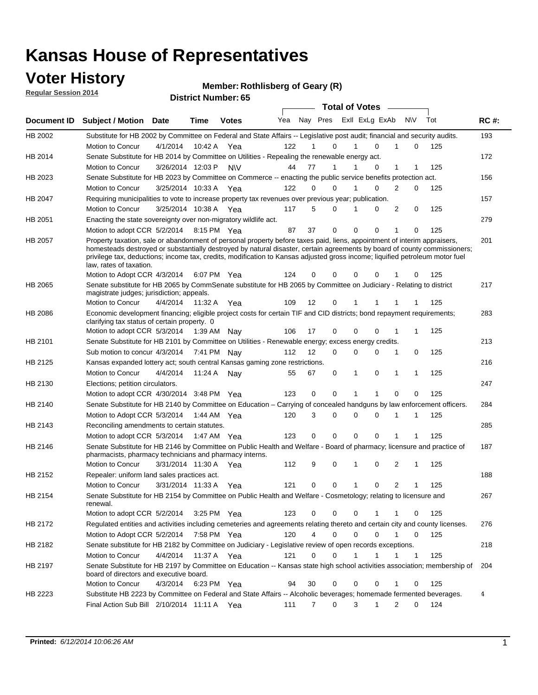### **Voter History**

**Regular Session 2014**

**Member: Rothlisberg of Geary (R)** 

| <b>District Number: 65</b> |  |
|----------------------------|--|
|                            |  |

|                |                                                                                                                                                                                                                                                                                                                                                                                                                  |                      |             |              |     |                |                                 | <b>Total of Votes</b> |             |                |             |     |             |
|----------------|------------------------------------------------------------------------------------------------------------------------------------------------------------------------------------------------------------------------------------------------------------------------------------------------------------------------------------------------------------------------------------------------------------------|----------------------|-------------|--------------|-----|----------------|---------------------------------|-----------------------|-------------|----------------|-------------|-----|-------------|
| Document ID    | <b>Subject / Motion</b>                                                                                                                                                                                                                                                                                                                                                                                          | Date                 | <b>Time</b> | <b>Votes</b> |     |                | Yea Nay Pres ExII ExLg ExAb N\V |                       |             |                |             | Tot | <b>RC#:</b> |
| HB 2002        | Substitute for HB 2002 by Committee on Federal and State Affairs -- Legislative post audit; financial and security audits.                                                                                                                                                                                                                                                                                       |                      |             |              |     |                |                                 |                       |             |                |             |     | 193         |
|                | Motion to Concur                                                                                                                                                                                                                                                                                                                                                                                                 | 4/1/2014             | 10:42 A     | Yea          | 122 |                | $\Omega$                        | 1                     | $\Omega$    |                | $\mathbf 0$ | 125 |             |
| HB 2014        | Senate Substitute for HB 2014 by Committee on Utilities - Repealing the renewable energy act.                                                                                                                                                                                                                                                                                                                    |                      |             |              |     |                |                                 |                       |             |                |             |     | 172         |
|                | Motion to Concur                                                                                                                                                                                                                                                                                                                                                                                                 | 3/26/2014 12:03 P    |             | <b>NV</b>    | 44  | 77             | $\mathbf{1}$                    | 1                     | $\Omega$    | 1              | 1           | 125 |             |
| HB 2023        | Senate Substitute for HB 2023 by Committee on Commerce -- enacting the public service benefits protection act.                                                                                                                                                                                                                                                                                                   |                      |             |              |     |                |                                 |                       |             |                |             |     | 156         |
|                | <b>Motion to Concur</b>                                                                                                                                                                                                                                                                                                                                                                                          | 3/25/2014 10:33 A    |             | Yea          | 122 | 0              | $\Omega$                        | 1                     | $\Omega$    | 2              | 0           | 125 |             |
| HB 2047        | Requiring municipalities to vote to increase property tax revenues over previous year; publication.                                                                                                                                                                                                                                                                                                              |                      |             |              |     |                |                                 |                       |             |                |             |     | 157         |
|                | Motion to Concur                                                                                                                                                                                                                                                                                                                                                                                                 | 3/25/2014 10:38 A    |             | Yea          | 117 | 5              | $\Omega$                        | 1                     | $\Omega$    | 2              | 0           | 125 |             |
| HB 2051        | Enacting the state sovereignty over non-migratory wildlife act.                                                                                                                                                                                                                                                                                                                                                  |                      |             |              |     |                |                                 |                       |             |                |             |     | 279         |
|                | Motion to adopt CCR 5/2/2014 8:15 PM Yea                                                                                                                                                                                                                                                                                                                                                                         |                      |             |              | 87  | 37             | $\mathbf 0$                     | $\mathbf 0$           | 0           | 1              | 0           | 125 |             |
| HB 2057        | Property taxation, sale or abandonment of personal property before taxes paid, liens, appointment of interim appraisers,<br>homesteads destroyed or substantially destroyed by natural disaster, certain agreements by board of county commissioners;<br>privilege tax, deductions; income tax, credits, modification to Kansas adjusted gross income; liquified petroleum motor fuel<br>law, rates of taxation. |                      |             |              |     |                |                                 |                       |             |                |             |     | 201         |
|                | Motion to Adopt CCR 4/3/2014                                                                                                                                                                                                                                                                                                                                                                                     |                      |             | 6:07 PM Yea  | 124 | 0              | 0                               | 0                     | 0           |                | 0           | 125 |             |
| HB 2065        | Senate substitute for HB 2065 by CommSenate substitute for HB 2065 by Committee on Judiciary - Relating to district<br>magistrate judges; jurisdiction; appeals.                                                                                                                                                                                                                                                 |                      |             |              |     |                |                                 |                       |             |                |             |     | 217         |
|                | Motion to Concur                                                                                                                                                                                                                                                                                                                                                                                                 | 4/4/2014             | 11:32 A     | Yea          | 109 | 12             | 0                               |                       |             |                |             | 125 |             |
| <b>HB 2086</b> | Economic development financing; eligible project costs for certain TIF and CID districts; bond repayment requirements;<br>clarifying tax status of certain property. 0                                                                                                                                                                                                                                           |                      |             |              |     |                |                                 |                       |             |                |             |     | 283         |
|                | Motion to adopt CCR 5/3/2014 1:39 AM Nay                                                                                                                                                                                                                                                                                                                                                                         |                      |             |              | 106 | 17             | $\mathbf 0$                     | 0                     | 0           | 1              | 1           | 125 |             |
| HB 2101        | Senate Substitute for HB 2101 by Committee on Utilities - Renewable energy; excess energy credits.                                                                                                                                                                                                                                                                                                               |                      |             |              |     |                |                                 |                       |             |                |             |     | 213         |
|                | Sub motion to concur 4/3/2014 7:41 PM Nav                                                                                                                                                                                                                                                                                                                                                                        |                      |             |              | 112 | 12             | $\Omega$                        | 0                     | $\mathbf 0$ | 1              | 0           | 125 |             |
| HB 2125        | Kansas expanded lottery act; south central Kansas gaming zone restrictions.                                                                                                                                                                                                                                                                                                                                      |                      |             |              |     |                |                                 |                       |             |                |             |     | 216         |
|                | Motion to Concur                                                                                                                                                                                                                                                                                                                                                                                                 | 4/4/2014             | 11:24 A     | Nav          | 55  | 67             | 0                               | 1                     | 0           | 1              | 1           | 125 |             |
| HB 2130        | Elections; petition circulators.                                                                                                                                                                                                                                                                                                                                                                                 |                      |             |              |     |                |                                 |                       |             |                |             |     | 247         |
|                | Motion to adopt CCR 4/30/2014 3:48 PM Yea                                                                                                                                                                                                                                                                                                                                                                        |                      |             |              | 123 | 0              | 0                               | 1                     | 1           | $\Omega$       | 0           | 125 |             |
| HB 2140        | Senate Substitute for HB 2140 by Committee on Education – Carrying of concealed handguns by law enforcement officers.                                                                                                                                                                                                                                                                                            |                      |             |              |     |                |                                 |                       |             |                |             |     | 284         |
|                | Motion to Adopt CCR 5/3/2014 1:44 AM Yea                                                                                                                                                                                                                                                                                                                                                                         |                      |             |              | 120 | 3              | 0                               | 0                     | $\Omega$    |                | 1           | 125 |             |
| HB 2143        | Reconciling amendments to certain statutes.                                                                                                                                                                                                                                                                                                                                                                      |                      |             |              |     |                |                                 |                       |             |                |             |     | 285         |
|                | Motion to adopt CCR 5/3/2014 1:47 AM Yea                                                                                                                                                                                                                                                                                                                                                                         |                      |             |              | 123 | 0              | $\mathbf 0$                     | $\Omega$              | $\Omega$    | 1              |             | 125 |             |
| <b>HB 2146</b> | Senate Substitute for HB 2146 by Committee on Public Health and Welfare - Board of pharmacy; licensure and practice of<br>pharmacists, pharmacy technicians and pharmacy interns.                                                                                                                                                                                                                                |                      |             |              |     |                |                                 |                       |             |                |             |     | 187         |
|                | Motion to Concur                                                                                                                                                                                                                                                                                                                                                                                                 | 3/31/2014 11:30 A    |             | Yea          | 112 | 9              | 0                               | 1                     | 0           | 2              | 1           | 125 |             |
| HB 2152        | Repealer: uniform land sales practices act.                                                                                                                                                                                                                                                                                                                                                                      |                      |             |              |     |                |                                 |                       |             |                |             |     | 188         |
|                | Motion to Concur                                                                                                                                                                                                                                                                                                                                                                                                 | 3/31/2014 11:33 A    |             | Yea          | 121 | 0              | 0                               | 1                     | 0           | $\overline{2}$ | 1           | 125 |             |
| HB 2154        | Senate Substitute for HB 2154 by Committee on Public Health and Welfare - Cosmetology; relating to licensure and<br>renewal.                                                                                                                                                                                                                                                                                     |                      |             |              |     |                |                                 |                       |             |                |             |     | 267         |
|                | Motion to adopt CCR 5/2/2014                                                                                                                                                                                                                                                                                                                                                                                     |                      |             | 3:25 PM Yea  | 123 | 0              | 0                               | 0                     |             | 1              | 0           | 125 |             |
| HB 2172        | Regulated entities and activities including cemeteries and agreements relating thereto and certain city and county licenses.                                                                                                                                                                                                                                                                                     |                      |             |              |     |                |                                 |                       |             |                |             |     | 276         |
|                | Motion to Adopt CCR 5/2/2014                                                                                                                                                                                                                                                                                                                                                                                     |                      | 7:58 PM Yea |              | 120 | $\overline{4}$ | $\mathbf 0$                     | 0                     | 0           | $\mathbf{1}$   | 0           | 125 |             |
| HB 2182        | Senate substitute for HB 2182 by Committee on Judiciary - Legislative review of open records exceptions.                                                                                                                                                                                                                                                                                                         |                      |             |              |     |                |                                 |                       |             |                |             |     | 218         |
|                | Motion to Concur                                                                                                                                                                                                                                                                                                                                                                                                 | 4/4/2014 11:37 A Yea |             |              | 121 | 0              | 0                               | 1                     | 1           | 1              | 1           | 125 |             |
| HB 2197        | Senate Substitute for HB 2197 by Committee on Education -- Kansas state high school activities association; membership of<br>board of directors and executive board.                                                                                                                                                                                                                                             |                      |             |              |     |                |                                 |                       |             |                |             |     | 204         |
|                | Motion to Concur                                                                                                                                                                                                                                                                                                                                                                                                 | 4/3/2014             |             | 6:23 PM Yea  | 94  | 30             | 0                               | $\mathbf 0$           | 0           | 1              | $\mathbf 0$ | 125 |             |
| HB 2223        | Substitute HB 2223 by Committee on Federal and State Affairs -- Alcoholic beverages; homemade fermented beverages.                                                                                                                                                                                                                                                                                               |                      |             |              |     |                |                                 |                       |             |                |             |     | 4           |
|                | Final Action Sub Bill 2/10/2014 11:11 A Yea                                                                                                                                                                                                                                                                                                                                                                      |                      |             |              | 111 | $\overline{7}$ | 0                               | 3                     | 1           | $\overline{2}$ | 0           | 124 |             |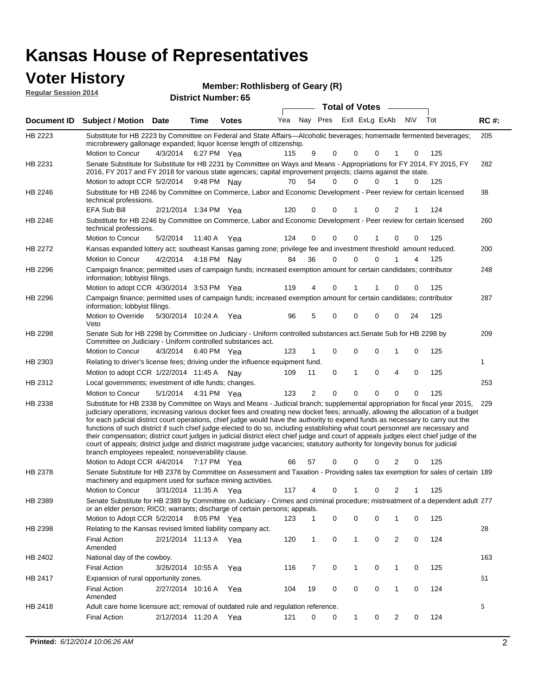| <b>Voter History</b><br><b>Regular Session 2014</b> |                                                                                                                                                                                                                                                                                                                                                                                                                                                                                                                                                                                                                                                                                                                                                                                                                                                                     |                       |             | <b>District Number: 65</b> | Member: Rothlisberg of Geary (R) |                |             |                       |                             |             |     |             |
|-----------------------------------------------------|---------------------------------------------------------------------------------------------------------------------------------------------------------------------------------------------------------------------------------------------------------------------------------------------------------------------------------------------------------------------------------------------------------------------------------------------------------------------------------------------------------------------------------------------------------------------------------------------------------------------------------------------------------------------------------------------------------------------------------------------------------------------------------------------------------------------------------------------------------------------|-----------------------|-------------|----------------------------|----------------------------------|----------------|-------------|-----------------------|-----------------------------|-------------|-----|-------------|
|                                                     |                                                                                                                                                                                                                                                                                                                                                                                                                                                                                                                                                                                                                                                                                                                                                                                                                                                                     |                       |             |                            |                                  |                |             | <b>Total of Votes</b> |                             |             |     |             |
|                                                     | Document ID Subject / Motion Date                                                                                                                                                                                                                                                                                                                                                                                                                                                                                                                                                                                                                                                                                                                                                                                                                                   |                       | Time        | <b>Votes</b>               | Yea                              |                | Nay Pres    |                       | Exll ExLg ExAb              | <b>NV</b>   | Tot | <b>RC#:</b> |
| HB 2223                                             | Substitute for HB 2223 by Committee on Federal and State Affairs-Alcoholic beverages; homemade fermented beverages;<br>microbrewery gallonage expanded; liquor license length of citizenship.<br>Motion to Concur                                                                                                                                                                                                                                                                                                                                                                                                                                                                                                                                                                                                                                                   | 4/3/2014              | 6:27 PM Yea |                            | 115                              | 9              | $\Omega$    | 0                     | $\Omega$<br>1               | 0           | 125 | 205         |
| HB 2231                                             | Senate Substitute for Substitute for HB 2231 by Committee on Ways and Means - Appropriations for FY 2014, FY 2015, FY<br>2016, FY 2017 and FY 2018 for various state agencies; capital improvement projects; claims against the state.<br>Motion to adopt CCR 5/2/2014 9:48 PM Nay                                                                                                                                                                                                                                                                                                                                                                                                                                                                                                                                                                                  |                       |             |                            | 70                               | 54             | 0           | $\Omega$              | 0<br>1                      | $\Omega$    | 125 | 282         |
| HB 2246                                             | Substitute for HB 2246 by Committee on Commerce, Labor and Economic Development - Peer review for certain licensed<br>technical professions.                                                                                                                                                                                                                                                                                                                                                                                                                                                                                                                                                                                                                                                                                                                        |                       |             |                            |                                  |                |             |                       |                             |             |     | 38          |
| HB 2246                                             | <b>EFA Sub Bill</b><br>Substitute for HB 2246 by Committee on Commerce, Labor and Economic Development - Peer review for certain licensed<br>technical professions.                                                                                                                                                                                                                                                                                                                                                                                                                                                                                                                                                                                                                                                                                                 | 2/21/2014 1:34 PM Yea |             |                            | 120                              | 0              | $\Omega$    | 1                     | 0<br>2                      |             | 124 | 260         |
|                                                     | Motion to Concur                                                                                                                                                                                                                                                                                                                                                                                                                                                                                                                                                                                                                                                                                                                                                                                                                                                    | 5/2/2014              | 11:40 A Yea |                            | 124                              | 0              | 0           | 0                     | 0                           | 0           | 125 |             |
| HB 2272                                             | Kansas expanded lottery act; southeast Kansas gaming zone; privilege fee and investment threshold amount reduced.                                                                                                                                                                                                                                                                                                                                                                                                                                                                                                                                                                                                                                                                                                                                                   |                       |             |                            |                                  |                |             |                       |                             |             |     | 200         |
| HB 2296                                             | Motion to Concur<br>Campaign finance; permitted uses of campaign funds; increased exemption amount for certain candidates; contributor<br>information; lobbyist filings.                                                                                                                                                                                                                                                                                                                                                                                                                                                                                                                                                                                                                                                                                            | 4/2/2014              | 4:18 PM Nay |                            | 84                               | 36             | 0           | 0                     | 0                           | 4           | 125 | 248         |
|                                                     | Motion to adopt CCR 4/30/2014 3:53 PM Yea                                                                                                                                                                                                                                                                                                                                                                                                                                                                                                                                                                                                                                                                                                                                                                                                                           |                       |             |                            | 119                              | 4              | 0           | 1                     | $\Omega$                    | $\mathbf 0$ | 125 |             |
| HB 2296                                             | Campaign finance; permitted uses of campaign funds; increased exemption amount for certain candidates; contributor<br>information; lobbyist filings.<br>Motion to Override                                                                                                                                                                                                                                                                                                                                                                                                                                                                                                                                                                                                                                                                                          | 5/30/2014 10:24 A Yea |             |                            | 96                               | 5              | $\Omega$    | 0                     | $\mathbf 0$<br>0            | 24          | 125 | 287         |
| HB 2298                                             | Veto<br>Senate Sub for HB 2298 by Committee on Judiciary - Uniform controlled substances act. Senate Sub for HB 2298 by<br>Committee on Judiciary - Uniform controlled substances act.<br>Motion to Concur                                                                                                                                                                                                                                                                                                                                                                                                                                                                                                                                                                                                                                                          | 4/3/2014              | 6:40 PM Yea |                            | 123                              | 1              | 0           | 0                     | $\mathbf 0$<br>1            | 0           | 125 | 209         |
| HB 2303                                             | Relating to driver's license fees; driving under the influence equipment fund.                                                                                                                                                                                                                                                                                                                                                                                                                                                                                                                                                                                                                                                                                                                                                                                      |                       |             |                            |                                  |                |             |                       |                             |             |     | 1           |
|                                                     | Motion to adopt CCR 1/22/2014 11:45 A                                                                                                                                                                                                                                                                                                                                                                                                                                                                                                                                                                                                                                                                                                                                                                                                                               |                       |             | Nav                        | 109                              | 11             | 0           | 1                     | 0<br>4                      | 0           | 125 |             |
| HB 2312                                             | Local governments; investment of idle funds; changes.                                                                                                                                                                                                                                                                                                                                                                                                                                                                                                                                                                                                                                                                                                                                                                                                               |                       |             |                            |                                  |                |             |                       |                             |             |     | 253         |
|                                                     | <b>Motion to Concur</b>                                                                                                                                                                                                                                                                                                                                                                                                                                                                                                                                                                                                                                                                                                                                                                                                                                             | 5/1/2014              | 4:31 PM Yea |                            | 123                              | $\overline{2}$ | $\mathbf 0$ | 0                     | $\mathbf{0}$<br>$\mathbf 0$ | $\mathbf 0$ | 125 |             |
| HB 2338                                             | Substitute for HB 2338 by Committee on Ways and Means - Judicial branch; supplemental appropriation for fiscal year 2015,<br>judiciary operations; increasing various docket fees and creating new docket fees; annually, allowing the allocation of a budget<br>for each judicial district court operations, chief judge would have the authority to expend funds as necessary to carry out the<br>functions of such district if such chief judge elected to do so, including establishing what court personnel are necessary and<br>their compensation; district court judges in judicial district elect chief judge and court of appeals judges elect chief judge of the<br>court of appeals; district judge and district magistrate judge vacancies; statutory authority for longevity bonus for judicial<br>branch employees repealed; nonseverability clause. |                       |             |                            |                                  | 57             |             | 0                     | 0<br>2                      |             | 125 | 229         |
| HB 2378                                             | Motion to Adopt CCR 4/4/2014<br>Senate Substitute for HB 2378 by Committee on Assessment and Taxation - Providing sales tax exemption for sales of certain 189                                                                                                                                                                                                                                                                                                                                                                                                                                                                                                                                                                                                                                                                                                      |                       | 7:17 PM Yea |                            | 66                               |                | 0           |                       |                             | 0           |     |             |

Senate Substitute for HB 2378 by Committee on Assessment and Taxation - Providing sales tax exemption for sales of certain 189 machinery and equipment used for surface mining activities.

3/31/2014 Motion to Concur Yea 125 11:35 A 117 4 0 0 21 1 Senate Substitute for HB 2389 by Committee on Judiciary - Crimes and criminal procedure; mistreatment of a dependent adult 277 Motion to Adopt CCR 5/2/2014 8:05 PM Yea 123 1 0 0 0 1 0 125 HB 2389 or an elder person; RICO; warrants; discharge of certain persons; appeals. 28  $2/21/2014$   $11.13$   $\Delta$ HB 2398 Relating to the Kansas revised limited liability company act.

|         | <b>Final Action</b><br>Amended                                                    | 2/21/2014 11:13 A |         | Yea | 120 |    |  | 2 | 124 |     |
|---------|-----------------------------------------------------------------------------------|-------------------|---------|-----|-----|----|--|---|-----|-----|
| HB 2402 | National day of the cowboy.                                                       |                   |         |     |     |    |  |   |     | 163 |
|         | Final Action                                                                      | 3/26/2014         | 10:55 A | Yea | 116 |    |  |   | 125 |     |
| HB 2417 | Expansion of rural opportunity zones.                                             |                   |         |     |     |    |  |   |     | 61  |
|         | Final Action<br>Amended                                                           | 2/27/2014         | 10:16 A | Yea | 104 | 19 |  |   | 124 |     |
| HB 2418 | Adult care home licensure act; removal of outdated rule and regulation reference. |                   |         |     |     |    |  |   |     |     |
|         | <b>Final Action</b>                                                               | 2/12/2014         | 11:20 A | Yea | 121 | 0  |  |   | 124 |     |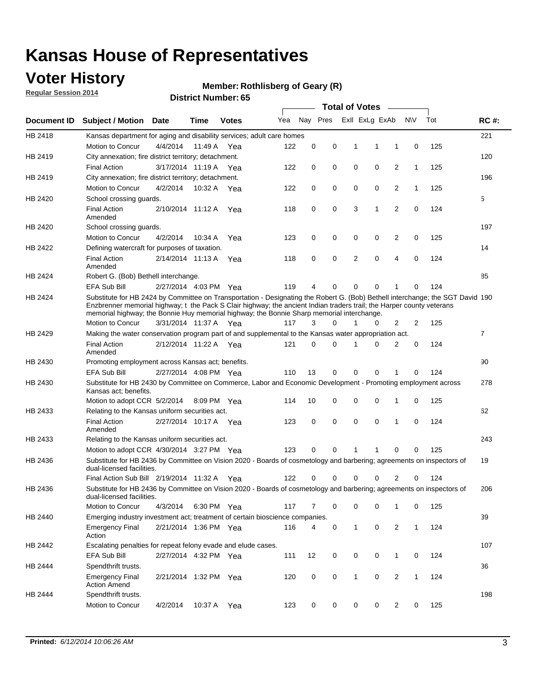### **Voter History**

**Regular Session 2014**

#### **Member: Rothlisberg of Geary (R)**

|             |                                                                                                                                                                                                                                                                                                                                                      |                       |             | DISTRICT MAILINGL 03 |     |          |          |              | <b>Total of Votes</b> |                |              |     |                |
|-------------|------------------------------------------------------------------------------------------------------------------------------------------------------------------------------------------------------------------------------------------------------------------------------------------------------------------------------------------------------|-----------------------|-------------|----------------------|-----|----------|----------|--------------|-----------------------|----------------|--------------|-----|----------------|
| Document ID | <b>Subject / Motion</b>                                                                                                                                                                                                                                                                                                                              | Date                  | Time        | <b>Votes</b>         | Yea |          | Nay Pres |              | Exll ExLg ExAb        |                | N\V          | Tot | <b>RC#:</b>    |
| HB 2418     | Kansas department for aging and disability services; adult care homes                                                                                                                                                                                                                                                                                |                       |             |                      |     |          |          |              |                       |                |              |     | 221            |
|             | <b>Motion to Concur</b>                                                                                                                                                                                                                                                                                                                              | 4/4/2014              | 11:49 A     | Yea                  | 122 | 0        | 0        | 1            | 1                     | 1              | 0            | 125 |                |
| HB 2419     | City annexation; fire district territory; detachment.                                                                                                                                                                                                                                                                                                |                       |             |                      |     |          |          |              |                       |                |              |     | 120            |
|             | <b>Final Action</b>                                                                                                                                                                                                                                                                                                                                  | 3/17/2014 11:19 A     |             | Yea                  | 122 | 0        | 0        | 0            | 0                     | $\overline{2}$ | $\mathbf{1}$ | 125 |                |
| HB 2419     | City annexation; fire district territory; detachment.                                                                                                                                                                                                                                                                                                |                       |             |                      |     |          |          |              |                       |                |              |     | 196            |
|             | Motion to Concur                                                                                                                                                                                                                                                                                                                                     | 4/2/2014              | 10:32 A     | Yea                  | 122 | 0        | 0        | 0            | 0                     | $\overline{2}$ | 1            | 125 |                |
| HB 2420     | School crossing quards.                                                                                                                                                                                                                                                                                                                              |                       |             |                      |     |          |          |              |                       |                |              |     | 5              |
|             | <b>Final Action</b><br>Amended                                                                                                                                                                                                                                                                                                                       | 2/10/2014 11:12 A     |             | Yea                  | 118 | 0        | 0        | 3            | 1                     | $\overline{2}$ | 0            | 124 |                |
| HB 2420     | School crossing guards.                                                                                                                                                                                                                                                                                                                              |                       |             |                      |     |          |          |              |                       |                |              |     | 197            |
|             | Motion to Concur                                                                                                                                                                                                                                                                                                                                     | 4/2/2014              | 10:34 A     | Yea                  | 123 | 0        | 0        | 0            | 0                     | 2              | 0            | 125 |                |
| HB 2422     | Defining watercraft for purposes of taxation.                                                                                                                                                                                                                                                                                                        |                       |             |                      |     |          |          |              |                       |                |              |     | 14             |
|             | <b>Final Action</b><br>Amended                                                                                                                                                                                                                                                                                                                       | 2/14/2014 11:13 A     |             | Yea                  | 118 | 0        | 0        | 2            | $\mathbf 0$           | $\overline{4}$ | 0            | 124 |                |
| HB 2424     | Robert G. (Bob) Bethell interchange.                                                                                                                                                                                                                                                                                                                 |                       |             |                      |     |          |          |              |                       |                |              |     | 85             |
|             | <b>EFA Sub Bill</b>                                                                                                                                                                                                                                                                                                                                  | 2/27/2014 4:03 PM Yea |             |                      | 119 | 4        | 0        | $\Omega$     | $\Omega$              | 1              | 0            | 124 |                |
| HB 2424     | Substitute for HB 2424 by Committee on Transportation - Designating the Robert G. (Bob) Bethell interchange; the SGT David 190<br>Enzbrenner memorial highway; t the Pack S Clair highway; the ancient Indian traders trail; the Harper county veterans<br>memorial highway; the Bonnie Huy memorial highway; the Bonnie Sharp memorial interchange. |                       |             |                      |     |          |          |              |                       |                |              |     |                |
|             | Motion to Concur                                                                                                                                                                                                                                                                                                                                     | 3/31/2014 11:37 A Yea |             |                      | 117 | 3        | $\Omega$ | 1            | 0                     | $\overline{2}$ | 2            | 125 |                |
| HB 2429     | Making the water conservation program part of and supplemental to the Kansas water appropriation act.                                                                                                                                                                                                                                                |                       |             |                      |     |          |          |              |                       |                |              |     | $\overline{7}$ |
|             | <b>Final Action</b><br>Amended                                                                                                                                                                                                                                                                                                                       | 2/12/2014 11:22 A Yea |             |                      | 121 | $\Omega$ | $\Omega$ | 1            | 0                     | $\overline{2}$ | $\mathbf 0$  | 124 |                |
| HB 2430     | Promoting employment across Kansas act; benefits.                                                                                                                                                                                                                                                                                                    |                       |             |                      |     |          |          |              |                       |                |              |     | 90             |
|             | <b>EFA Sub Bill</b>                                                                                                                                                                                                                                                                                                                                  | 2/27/2014 4:08 PM Yea |             |                      | 110 | 13       | 0        | $\mathbf 0$  | 0                     |                | 0            | 124 |                |
| HB 2430     | Substitute for HB 2430 by Committee on Commerce, Labor and Economic Development - Promoting employment across<br>Kansas act; benefits.                                                                                                                                                                                                               |                       |             |                      |     |          |          |              |                       |                |              |     | 278            |
|             | Motion to adopt CCR 5/2/2014                                                                                                                                                                                                                                                                                                                         |                       | 8:09 PM Yea |                      | 114 | 10       | 0        | 0            | 0                     | 1              | 0            | 125 |                |
| HB 2433     | Relating to the Kansas uniform securities act.                                                                                                                                                                                                                                                                                                       |                       |             |                      |     |          |          |              |                       |                |              |     | 62             |
|             | <b>Final Action</b><br>Amended                                                                                                                                                                                                                                                                                                                       | 2/27/2014 10:17 A Yea |             |                      | 123 | 0        | 0        | $\mathbf 0$  | $\mathbf 0$           | 1              | 0            | 124 |                |
| HB 2433     | Relating to the Kansas uniform securities act.                                                                                                                                                                                                                                                                                                       |                       |             |                      |     |          |          |              |                       |                |              |     | 243            |
|             | Motion to adopt CCR 4/30/2014 3:27 PM Yea                                                                                                                                                                                                                                                                                                            |                       |             |                      | 123 | $\Omega$ | $\Omega$ | 1            | 1                     | $\Omega$       | 0            | 125 |                |
| HB 2436     | Substitute for HB 2436 by Committee on Vision 2020 - Boards of cosmetology and barbering; agreements on inspectors of<br>dual-licensed facilities.                                                                                                                                                                                                   |                       |             |                      |     |          |          |              |                       |                |              |     | 19             |
|             | Final Action Sub Bill 2/19/2014 11:32 A                                                                                                                                                                                                                                                                                                              |                       |             | Yea                  | 122 | ი        | 0        | O            | 0                     | 2              | 0            | 124 |                |
| HB 2436     | Substitute for HB 2436 by Committee on Vision 2020 - Boards of cosmetology and barbering; agreements on inspectors of<br>dual-licensed facilities.                                                                                                                                                                                                   |                       |             |                      |     |          |          |              |                       |                |              |     | 206            |
|             | Motion to Concur                                                                                                                                                                                                                                                                                                                                     | 4/3/2014              | 6:30 PM Yea |                      | 117 | 7        | 0        | 0            | 0                     | 1              | 0            | 125 |                |
| HB 2440     | Emerging industry investment act; treatment of certain bioscience companies.                                                                                                                                                                                                                                                                         |                       |             |                      |     |          |          |              |                       |                |              |     | 39             |
|             | <b>Emergency Final</b><br>Action                                                                                                                                                                                                                                                                                                                     | 2/21/2014 1:36 PM Yea |             |                      | 116 | 4        | 0        | $\mathbf{1}$ | 0                     | 2              | $\mathbf{1}$ | 124 |                |
| HB 2442     | Escalating penalties for repeat felony evade and elude cases.                                                                                                                                                                                                                                                                                        |                       |             |                      |     |          |          |              |                       |                |              |     | 107            |
|             | EFA Sub Bill                                                                                                                                                                                                                                                                                                                                         | 2/27/2014 4:32 PM Yea |             |                      | 111 | 12       | 0        | 0            | 0                     | $\mathbf{1}$   | 0            | 124 |                |
| HB 2444     | Spendthrift trusts.                                                                                                                                                                                                                                                                                                                                  |                       |             |                      |     |          |          |              |                       |                |              |     | 36             |
|             | <b>Emergency Final</b><br><b>Action Amend</b>                                                                                                                                                                                                                                                                                                        | 2/21/2014 1:32 PM Yea |             |                      | 120 | 0        | 0        | $\mathbf{1}$ | 0                     | $\overline{2}$ | $\mathbf{1}$ | 124 |                |
| HB 2444     | Spendthrift trusts.<br>Motion to Concur                                                                                                                                                                                                                                                                                                              | 4/2/2014              |             | 10:37 A Yea          | 123 | 0        | 0        | 0            | 0                     | $\overline{2}$ | 0            | 125 | 198            |
|             |                                                                                                                                                                                                                                                                                                                                                      |                       |             |                      |     |          |          |              |                       |                |              |     |                |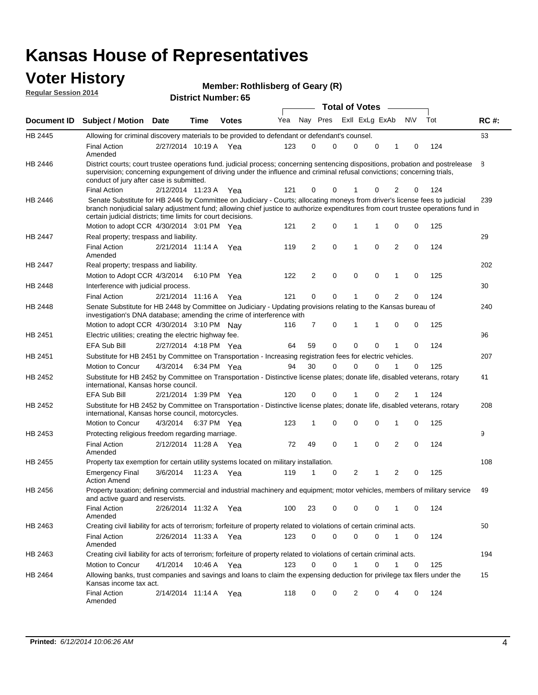#### **Voter History Regular Session 2014**

| Member: Rothlisberg of Geary (R) |  |  |  |
|----------------------------------|--|--|--|
|----------------------------------|--|--|--|

|                    |                                                                                                                                                                                                                                                                                                                                 |                       |             |              |     |          |             | <b>Total of Votes</b> |             |                |             |     |             |
|--------------------|---------------------------------------------------------------------------------------------------------------------------------------------------------------------------------------------------------------------------------------------------------------------------------------------------------------------------------|-----------------------|-------------|--------------|-----|----------|-------------|-----------------------|-------------|----------------|-------------|-----|-------------|
| <b>Document ID</b> | <b>Subject / Motion Date</b>                                                                                                                                                                                                                                                                                                    |                       | Time        | <b>Votes</b> | Yea | Nav Pres |             | Exll ExLg ExAb        |             |                | N\V         | Tot | <b>RC#:</b> |
| HB 2445            | Allowing for criminal discovery materials to be provided to defendant or defendant's counsel.                                                                                                                                                                                                                                   |                       |             |              |     |          |             |                       |             |                |             |     | 63          |
|                    | <b>Final Action</b><br>Amended                                                                                                                                                                                                                                                                                                  | 2/27/2014 10:19 A     |             | Yea          | 123 | 0        | 0           | $\Omega$              | $\mathbf 0$ | 1              | 0           | 124 |             |
| HB 2446            | District courts; court trustee operations fund. judicial process; concerning sentencing dispositions, probation and postrelease<br>supervision; concerning expungement of driving under the influence and criminal refusal convictions; concerning trials,<br>conduct of jury after case is submitted.                          |                       |             |              |     |          |             |                       |             |                |             |     | 8           |
|                    | <b>Final Action</b>                                                                                                                                                                                                                                                                                                             | 2/12/2014 11:23 A Yea |             |              | 121 | 0        | 0           | 1                     | 0           | 2              | 0           | 124 |             |
| HB 2446            | Senate Substitute for HB 2446 by Committee on Judiciary - Courts; allocating moneys from driver's license fees to judicial<br>branch nonjudicial salary adjustment fund; allowing chief justice to authorize expenditures from court trustee operations fund in<br>certain judicial districts; time limits for court decisions. |                       |             |              |     |          |             |                       |             |                |             |     | 239         |
|                    | Motion to adopt CCR 4/30/2014 3:01 PM Yea                                                                                                                                                                                                                                                                                       |                       |             |              | 121 | 2        | 0           | 1                     | 1           | 0              | 0           | 125 |             |
| <b>HB 2447</b>     | Real property; trespass and liability.                                                                                                                                                                                                                                                                                          |                       |             |              |     |          |             |                       |             |                |             |     | 29          |
|                    | <b>Final Action</b><br>Amended                                                                                                                                                                                                                                                                                                  | 2/21/2014 11:14 A     |             | Yea          | 119 | 2        | 0           | 1                     | 0           | $\overline{2}$ | 0           | 124 |             |
| HB 2447            | Real property; trespass and liability.                                                                                                                                                                                                                                                                                          |                       |             |              |     |          |             |                       |             |                |             |     | 202         |
|                    | Motion to Adopt CCR 4/3/2014                                                                                                                                                                                                                                                                                                    |                       |             | 6:10 PM Yea  | 122 | 2        | 0           | 0                     | 0           | 1              | 0           | 125 |             |
| <b>HB 2448</b>     | Interference with judicial process.                                                                                                                                                                                                                                                                                             |                       |             |              |     |          |             |                       |             |                |             |     | 30          |
|                    | <b>Final Action</b>                                                                                                                                                                                                                                                                                                             | 2/21/2014 11:16 A Yea |             |              | 121 | 0        | $\mathbf 0$ | 1                     | 0           | $\overline{2}$ | 0           | 124 |             |
| HB 2448            | Senate Substitute for HB 2448 by Committee on Judiciary - Updating provisions relating to the Kansas bureau of<br>investigation's DNA database; amending the crime of interference with                                                                                                                                         |                       |             |              |     |          |             |                       |             |                |             |     | 240         |
|                    | Motion to adopt CCR 4/30/2014 3:10 PM Nav                                                                                                                                                                                                                                                                                       |                       |             |              | 116 | 7        | 0           | 1                     | 1           | 0              | 0           | 125 |             |
| HB 2451            | Electric utilities; creating the electric highway fee.                                                                                                                                                                                                                                                                          |                       |             |              |     |          |             |                       |             |                |             |     | 96          |
|                    | <b>EFA Sub Bill</b>                                                                                                                                                                                                                                                                                                             | 2/27/2014 4:18 PM Yea |             |              | 64  | 59       | 0           | $\Omega$              | 0           |                | $\mathbf 0$ | 124 |             |
| HB 2451            | Substitute for HB 2451 by Committee on Transportation - Increasing registration fees for electric vehicles.                                                                                                                                                                                                                     |                       |             |              |     |          |             |                       |             |                |             |     | 207         |
|                    | Motion to Concur                                                                                                                                                                                                                                                                                                                | 4/3/2014              |             | 6:34 PM Yea  | 94  | 30       | 0           | $\Omega$              | 0           |                | 0           | 125 |             |
| HB 2452            | Substitute for HB 2452 by Committee on Transportation - Distinctive license plates; donate life, disabled veterans, rotary<br>international, Kansas horse council.                                                                                                                                                              |                       |             |              |     |          |             |                       |             |                |             |     | 41          |
|                    | EFA Sub Bill                                                                                                                                                                                                                                                                                                                    | 2/21/2014 1:39 PM Yea |             |              | 120 | 0        | 0           |                       | 0           | 2              | 1           | 124 |             |
| HB 2452            | Substitute for HB 2452 by Committee on Transportation - Distinctive license plates; donate life, disabled veterans, rotary<br>international, Kansas horse council, motorcycles.                                                                                                                                                 |                       |             |              |     |          |             |                       |             |                |             |     | 208         |
|                    | Motion to Concur                                                                                                                                                                                                                                                                                                                | 4/3/2014              |             | 6:37 PM Yea  | 123 | 1        | 0           | $\mathbf 0$           | 0           | 1              | 0           | 125 |             |
| HB 2453            | Protecting religious freedom regarding marriage.                                                                                                                                                                                                                                                                                |                       |             |              |     |          |             |                       |             |                |             |     | 9           |
|                    | <b>Final Action</b><br>Amended                                                                                                                                                                                                                                                                                                  | 2/12/2014 11:28 A Yea |             |              | 72  | 49       | 0           | 1                     | 0           | $\overline{2}$ | 0           | 124 |             |
| HB 2455            | Property tax exemption for certain utility systems located on military installation.                                                                                                                                                                                                                                            |                       |             |              |     |          |             |                       |             |                |             |     | 108         |
|                    | <b>Emergency Final</b><br><b>Action Amend</b>                                                                                                                                                                                                                                                                                   | 3/6/2014              | 11:23 A     | Yea          | 119 | 1        | 0           | $\overline{2}$        |             | $\overline{2}$ | 0           | 125 |             |
| HB 2456            | Property taxation; defining commercial and industrial machinery and equipment; motor vehicles, members of military service<br>and active guard and reservists.                                                                                                                                                                  |                       |             |              |     |          |             |                       |             |                |             |     | 49          |
|                    | <b>Final Action</b><br>Amended                                                                                                                                                                                                                                                                                                  | 2/26/2014 11:32 A Yea |             |              | 100 | 23       | 0           | 0                     | 0           | 1              | 0           | 124 |             |
| HB 2463            | Creating civil liability for acts of terrorism; forfeiture of property related to violations of certain criminal acts.                                                                                                                                                                                                          |                       |             |              |     |          |             |                       |             |                |             |     | 50          |
|                    | <b>Final Action</b><br>Amended                                                                                                                                                                                                                                                                                                  | 2/26/2014 11:33 A Yea |             |              | 123 | 0        | 0           | 0                     | 0           | $\mathbf{1}$   | 0           | 124 |             |
| HB 2463            | Creating civil liability for acts of terrorism; forfeiture of property related to violations of certain criminal acts.                                                                                                                                                                                                          |                       |             |              |     |          |             |                       |             |                |             |     | 194         |
|                    | Motion to Concur                                                                                                                                                                                                                                                                                                                | 4/1/2014              | 10:46 A Yea |              | 123 | 0        | 0           | $\mathbf{1}$          | $\mathbf 0$ | $\mathbf{1}$   | $\mathbf 0$ | 125 |             |
| HB 2464            | Allowing banks, trust companies and savings and loans to claim the expensing deduction for privilege tax filers under the<br>Kansas income tax act.                                                                                                                                                                             |                       |             |              |     |          |             |                       |             |                |             |     | 15          |
|                    | <b>Final Action</b><br>Amended                                                                                                                                                                                                                                                                                                  | 2/14/2014 11:14 A Yea |             |              | 118 | 0        | 0           | 2                     | 0           | 4              | 0           | 124 |             |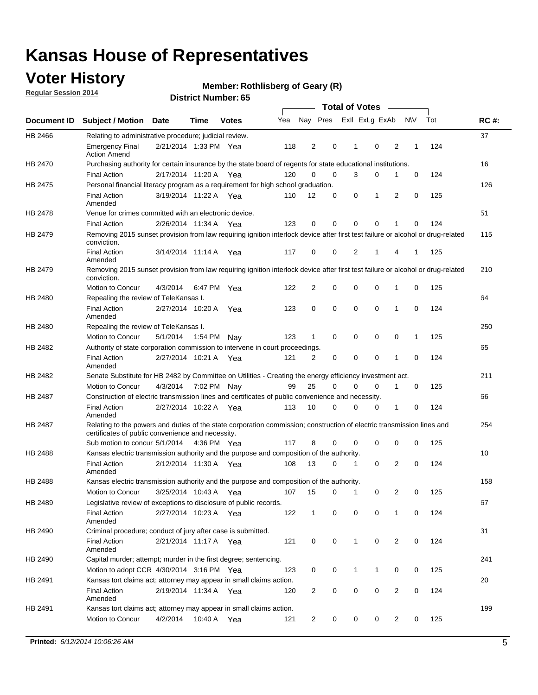### **Voter History**

**Regular Session 2014**

#### **Member: Rothlisberg of Geary (R)**

|                |                                                                                                                                                                             |                       |             |              |     |                |             | <b>Total of Votes</b> |                |   |             |     |             |
|----------------|-----------------------------------------------------------------------------------------------------------------------------------------------------------------------------|-----------------------|-------------|--------------|-----|----------------|-------------|-----------------------|----------------|---|-------------|-----|-------------|
|                | Document ID Subject / Motion Date                                                                                                                                           |                       | Time        | <b>Votes</b> | Yea |                | Nay Pres    |                       | Exll ExLg ExAb |   | <b>NV</b>   | Tot | <b>RC#:</b> |
| HB 2466        | Relating to administrative procedure; judicial review.                                                                                                                      |                       |             |              |     |                |             |                       |                |   |             |     | 37          |
|                | <b>Emergency Final</b><br><b>Action Amend</b>                                                                                                                               | 2/21/2014 1:33 PM Yea |             |              | 118 | 2              | 0           | 1                     | 0              | 2 | 1           | 124 |             |
| <b>HB 2470</b> | Purchasing authority for certain insurance by the state board of regents for state educational institutions.                                                                |                       |             |              |     |                |             |                       |                |   |             |     | 16          |
|                | <b>Final Action</b>                                                                                                                                                         | 2/17/2014 11:20 A Yea |             |              | 120 | 0              | 0           | 3                     | 0              | 1 | 0           | 124 |             |
| HB 2475        | Personal financial literacy program as a requirement for high school graduation.                                                                                            |                       |             |              |     |                |             |                       |                |   |             |     | 126         |
|                | <b>Final Action</b><br>Amended                                                                                                                                              | 3/19/2014 11:22 A Yea |             |              | 110 | 12             | 0           | 0                     | 1              | 2 | $\mathbf 0$ | 125 |             |
| HB 2478        | Venue for crimes committed with an electronic device.                                                                                                                       |                       |             |              |     |                |             |                       |                |   |             |     | 51          |
|                | <b>Final Action</b>                                                                                                                                                         | 2/26/2014 11:34 A     |             | Yea          | 123 | 0              | 0           | $\mathbf 0$           | $\mathbf 0$    | 1 | 0           | 124 |             |
| HB 2479        | Removing 2015 sunset provision from law requiring ignition interlock device after first test failure or alcohol or drug-related<br>conviction.                              |                       |             |              |     |                |             |                       |                |   |             |     | 115         |
|                | <b>Final Action</b><br>Amended                                                                                                                                              | 3/14/2014 11:14 A     |             | Yea          | 117 | $\mathbf 0$    | 0           | 2                     | 1              | 4 | 1           | 125 |             |
| HB 2479        | Removing 2015 sunset provision from law requiring ignition interlock device after first test failure or alcohol or drug-related<br>conviction.                              |                       |             |              |     |                |             |                       |                |   |             |     | 210         |
|                | <b>Motion to Concur</b>                                                                                                                                                     | 4/3/2014              |             | 6:47 PM Yea  | 122 | $\overline{2}$ | 0           | 0                     | $\mathbf 0$    | 1 | 0           | 125 |             |
| HB 2480        | Repealing the review of TeleKansas I.                                                                                                                                       |                       |             |              |     |                |             |                       |                |   |             |     | 64          |
|                | <b>Final Action</b><br>Amended                                                                                                                                              | 2/27/2014 10:20 A     |             | Yea          | 123 | 0              | 0           | $\mathbf 0$           | $\mathbf 0$    | 1 | 0           | 124 |             |
| HB 2480        | Repealing the review of TeleKansas I.                                                                                                                                       |                       |             |              |     |                |             |                       |                |   |             |     | 250         |
|                | Motion to Concur                                                                                                                                                            | 5/1/2014              | 1:54 PM     | Nav          | 123 | 1              | 0           | 0                     | 0              | 0 | 1           | 125 |             |
| <b>HB 2482</b> | Authority of state corporation commission to intervene in court proceedings.                                                                                                |                       |             |              |     |                |             |                       |                |   |             |     | 65          |
|                | <b>Final Action</b><br>Amended                                                                                                                                              | 2/27/2014 10:21 A     |             | Yea          | 121 | $\overline{2}$ | 0           | $\mathbf 0$           | $\mathbf 0$    | 1 | $\mathbf 0$ | 124 |             |
| HB 2482        | Senate Substitute for HB 2482 by Committee on Utilities - Creating the energy efficiency investment act.                                                                    |                       |             |              |     |                |             |                       |                |   |             |     | 211         |
|                | Motion to Concur                                                                                                                                                            | 4/3/2014              | 7:02 PM Nay |              | 99  | 25             | $\mathbf 0$ | 0                     | $\mathbf 0$    | 1 | 0           | 125 |             |
| HB 2487        | Construction of electric transmission lines and certificates of public convenience and necessity.                                                                           |                       |             |              |     |                |             |                       |                |   |             |     | 66          |
|                | <b>Final Action</b><br>Amended                                                                                                                                              | 2/27/2014 10:22 A     |             | Yea          | 113 | 10             | 0           | 0                     | 0              | 1 | 0           | 124 |             |
| HB 2487        | Relating to the powers and duties of the state corporation commission; construction of electric transmission lines and<br>certificates of public convenience and necessity. |                       |             |              |     |                |             |                       |                |   |             |     | 254         |
|                | Sub motion to concur 5/1/2014                                                                                                                                               |                       |             | 4:36 PM Yea  | 117 | 8              | 0           | 0                     | 0              | 0 | 0           | 125 |             |
| <b>HB 2488</b> | Kansas electric transmission authority and the purpose and composition of the authority.                                                                                    |                       |             |              |     |                |             |                       |                |   |             |     | 10          |
|                | <b>Final Action</b><br>Amended                                                                                                                                              | 2/12/2014 11:30 A     |             | Yea          | 108 | 13             | 0           | 1                     | 0              | 2 | 0           | 124 |             |
| <b>HB 2488</b> | Kansas electric transmission authority and the purpose and composition of the authority.                                                                                    |                       |             |              |     |                |             |                       |                |   |             |     | 158         |
|                | Motion to Concur                                                                                                                                                            | 3/25/2014 10:43 A     |             | Yea          | 107 | 15             | 0           | 1                     | 0              | 2 | 0           | 125 |             |
| HB 2489        | Legislative review of exceptions to disclosure of public records.                                                                                                           |                       |             |              |     |                |             |                       |                |   |             |     | 67          |
|                | <b>Final Action</b><br>Amended                                                                                                                                              | 2/27/2014 10:23 A Yea |             |              | 122 | $\mathbf 1$    | 0           | 0                     | 0              | 1 | 0           | 124 |             |
| HB 2490        | Criminal procedure; conduct of jury after case is submitted.                                                                                                                |                       |             |              |     |                |             |                       |                |   |             |     | 31          |
|                | <b>Final Action</b><br>Amended                                                                                                                                              | 2/21/2014 11:17 A Yea |             |              | 121 | 0              | 0           | $\mathbf{1}$          | $\mathbf 0$    | 2 | 0           | 124 |             |
| HB 2490        | Capital murder; attempt; murder in the first degree; sentencing.                                                                                                            |                       |             |              |     |                |             |                       |                |   |             |     | 241         |
|                | Motion to adopt CCR 4/30/2014 3:16 PM Yea                                                                                                                                   |                       |             |              | 123 | 0              | 0           | $\mathbf 1$           | 1              | 0 | 0           | 125 |             |
| HB 2491        | Kansas tort claims act; attorney may appear in small claims action.                                                                                                         |                       |             |              |     |                |             |                       |                |   |             |     | 20          |
|                | <b>Final Action</b><br>Amended                                                                                                                                              | 2/19/2014 11:34 A Yea |             |              | 120 | $\overline{c}$ | 0           | 0                     | $\pmb{0}$      | 2 | 0           | 124 |             |
| HB 2491        | Kansas tort claims act; attorney may appear in small claims action.                                                                                                         |                       |             |              |     |                |             |                       |                |   |             |     | 199         |
|                | Motion to Concur                                                                                                                                                            | 4/2/2014              | 10:40 A     | Yea          | 121 | 2              | 0           | 0                     | 0              | 2 | 0           | 125 |             |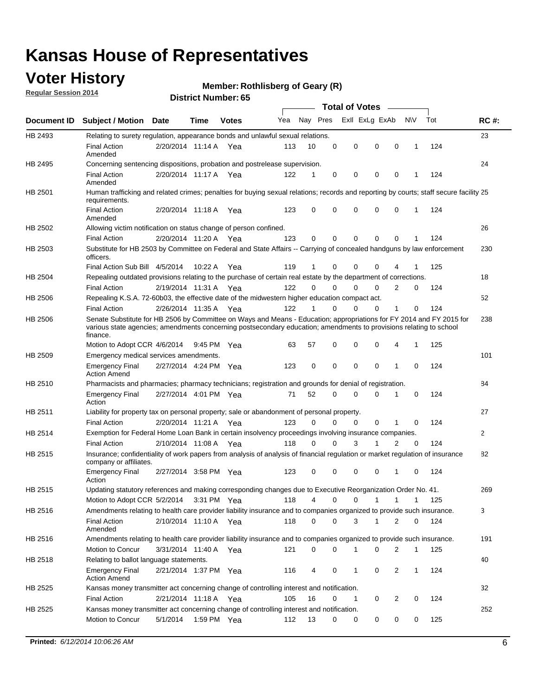### **Voter History**

**Regular Session 2014**

#### **Member: Rothlisberg of Geary (R)**

|                |                                                                                                                                                                                                                                                        |                       |             |              |     |          |          | <b>Total of Votes</b> |              |              |              |     |                |
|----------------|--------------------------------------------------------------------------------------------------------------------------------------------------------------------------------------------------------------------------------------------------------|-----------------------|-------------|--------------|-----|----------|----------|-----------------------|--------------|--------------|--------------|-----|----------------|
|                | Document ID Subject / Motion Date                                                                                                                                                                                                                      |                       | Time        | <b>Votes</b> | Yea | Nay Pres |          | Exll ExLg ExAb        |              |              | <b>NV</b>    | Tot | <b>RC#:</b>    |
| HB 2493        | Relating to surety regulation, appearance bonds and unlawful sexual relations.                                                                                                                                                                         |                       |             |              |     |          |          |                       |              |              |              |     | 23             |
|                | <b>Final Action</b><br>Amended                                                                                                                                                                                                                         | 2/20/2014 11:14 A     |             | Yea          | 113 | 10       | 0        | 0                     | 0            | 0            | 1            | 124 |                |
| HB 2495        | Concerning sentencing dispositions, probation and postrelease supervision.                                                                                                                                                                             |                       |             |              |     |          |          |                       |              |              |              |     | 24             |
|                | <b>Final Action</b><br>Amended                                                                                                                                                                                                                         | 2/20/2014 11:17 A Yea |             |              | 122 | 1        | 0        | 0                     | 0            | 0            | 1            | 124 |                |
| HB 2501        | Human trafficking and related crimes; penalties for buying sexual relations; records and reporting by courts; staff secure facility 25<br>requirements.                                                                                                |                       |             |              |     |          |          |                       |              |              |              |     |                |
|                | <b>Final Action</b><br>Amended                                                                                                                                                                                                                         | 2/20/2014 11:18 A Yea |             |              | 123 | 0        | 0        | 0                     | 0            | $\mathbf 0$  | 1            | 124 |                |
| HB 2502        | Allowing victim notification on status change of person confined.                                                                                                                                                                                      |                       |             |              |     |          |          |                       |              |              |              |     | 26             |
|                | <b>Final Action</b>                                                                                                                                                                                                                                    | 2/20/2014 11:20 A Yea |             |              | 123 | 0        | 0        | 0                     | 0            | $\Omega$     |              | 124 |                |
| HB 2503        | Substitute for HB 2503 by Committee on Federal and State Affairs -- Carrying of concealed handguns by law enforcement<br>officers.                                                                                                                     |                       |             |              |     |          |          |                       |              |              |              |     | 230            |
|                | Final Action Sub Bill 4/5/2014                                                                                                                                                                                                                         |                       | 10:22 A     | Yea          | 119 |          | 0        | 0                     | 0            | 4            |              | 125 |                |
| HB 2504        | Repealing outdated provisions relating to the purchase of certain real estate by the department of corrections.                                                                                                                                        |                       |             |              |     |          |          |                       |              |              |              |     | 18             |
|                | <b>Final Action</b>                                                                                                                                                                                                                                    | 2/19/2014 11:31 A Yea |             |              | 122 | $\Omega$ | 0        | 0                     | $\Omega$     | 2            | 0            | 124 |                |
| <b>HB 2506</b> | Repealing K.S.A. 72-60b03, the effective date of the midwestern higher education compact act.                                                                                                                                                          |                       |             |              |     |          |          |                       |              |              |              |     | 52             |
|                | <b>Final Action</b>                                                                                                                                                                                                                                    | 2/26/2014 11:35 A Yea |             |              | 122 |          | 0        | 0                     | 0            | 1            | 0            | 124 |                |
| HB 2506        | Senate Substitute for HB 2506 by Committee on Ways and Means - Education; appropriations for FY 2014 and FY 2015 for<br>various state agencies; amendments concerning postsecondary education; amendments to provisions relating to school<br>finance. |                       |             |              |     |          |          |                       |              |              |              |     | 238            |
|                | Motion to Adopt CCR 4/6/2014                                                                                                                                                                                                                           |                       | 9:45 PM Yea |              | 63  | 57       | 0        | 0                     | 0            | 4            | 1            | 125 |                |
| HB 2509        | Emergency medical services amendments.                                                                                                                                                                                                                 |                       |             |              |     |          |          |                       |              |              |              |     | 101            |
|                | <b>Emergency Final</b><br><b>Action Amend</b>                                                                                                                                                                                                          | 2/27/2014 4:24 PM Yea |             |              | 123 | 0        | 0        | 0                     | 0            | 1            | 0            | 124 |                |
| HB 2510        | Pharmacists and pharmacies; pharmacy technicians; registration and grounds for denial of registration.                                                                                                                                                 |                       |             |              |     |          |          |                       |              |              |              |     | 84             |
|                | <b>Emergency Final</b><br>Action                                                                                                                                                                                                                       | 2/27/2014 4:01 PM Yea |             |              | 71  | 52       | 0        | 0                     | 0            | 1            | 0            | 124 |                |
| HB 2511        | Liability for property tax on personal property; sale or abandonment of personal property.                                                                                                                                                             |                       |             |              |     |          |          |                       |              |              |              |     | 27             |
|                | <b>Final Action</b>                                                                                                                                                                                                                                    | 2/20/2014 11:21 A     |             | Yea          | 123 | $\Omega$ | $\Omega$ | $\Omega$              | 0            |              | 0            | 124 |                |
| HB 2514        | Exemption for Federal Home Loan Bank in certain insolvency proceedings involving insurance companies.                                                                                                                                                  |                       |             |              |     |          |          |                       |              |              |              |     | $\overline{2}$ |
|                | <b>Final Action</b>                                                                                                                                                                                                                                    | 2/10/2014 11:08 A     |             | Yea          | 118 | 0        | 0        | 3                     | 1            | 2            | $\mathbf 0$  | 124 |                |
| HB 2515        | Insurance; confidentiality of work papers from analysis of analysis of financial regulation or market regulation of insurance<br>company or affiliates.                                                                                                |                       |             |              |     |          |          |                       |              |              |              |     | 82             |
|                | <b>Emergency Final</b><br>Action                                                                                                                                                                                                                       | 2/27/2014 3:58 PM Yea |             |              | 123 | 0        | 0        | 0                     | 0            | 1            | 0            | 124 |                |
| <b>HB 2515</b> | Updating statutory references and making corresponding changes due to Executive Reorganization Order No. 41.                                                                                                                                           |                       |             |              |     |          |          |                       |              |              |              |     | 269            |
|                | Motion to Adopt CCR 5/2/2014 3:31 PM Yea                                                                                                                                                                                                               |                       |             |              | 118 | 4        | 0        | 0                     | $\mathbf{1}$ | $\mathbf{1}$ | $\mathbf{1}$ | 125 |                |
| HB 2516        | Amendments relating to health care provider liability insurance and to companies organized to provide such insurance.                                                                                                                                  |                       |             |              |     |          |          |                       |              |              |              |     | 3              |
|                | <b>Final Action</b><br>Amended                                                                                                                                                                                                                         | 2/10/2014 11:10 A     |             | Yea          | 118 | 0        | 0        | 3                     | $\mathbf{1}$ | 2            | 0            | 124 |                |
| HB 2516        | Amendments relating to health care provider liability insurance and to companies organized to provide such insurance.                                                                                                                                  |                       |             |              |     |          |          |                       |              |              |              |     | 191            |
|                | Motion to Concur                                                                                                                                                                                                                                       | 3/31/2014 11:40 A Yea |             |              | 121 | 0        | 0        | 1                     | 0            | 2            | 1            | 125 |                |
| HB 2518        | Relating to ballot language statements.                                                                                                                                                                                                                |                       |             |              |     |          |          |                       |              |              |              |     | 40             |
|                | <b>Emergency Final</b><br><b>Action Amend</b>                                                                                                                                                                                                          | 2/21/2014 1:37 PM Yea |             |              | 116 | 4        | 0        | 1                     | 0            | 2            | 1            | 124 |                |
| HB 2525        | Kansas money transmitter act concerning change of controlling interest and notification.                                                                                                                                                               |                       |             |              |     |          |          |                       |              |              |              |     | 32             |
|                | <b>Final Action</b>                                                                                                                                                                                                                                    | 2/21/2014 11:18 A Yea |             |              | 105 | 16       | 0        | 1                     | 0            | 2            | $\mathbf 0$  | 124 |                |
| HB 2525        | Kansas money transmitter act concerning change of controlling interest and notification.                                                                                                                                                               |                       |             |              |     |          |          |                       |              |              |              |     | 252            |
|                | Motion to Concur                                                                                                                                                                                                                                       | 5/1/2014              |             | 1:59 PM Yea  | 112 | 13       | 0        | 0                     | 0            | 0            | 0            | 125 |                |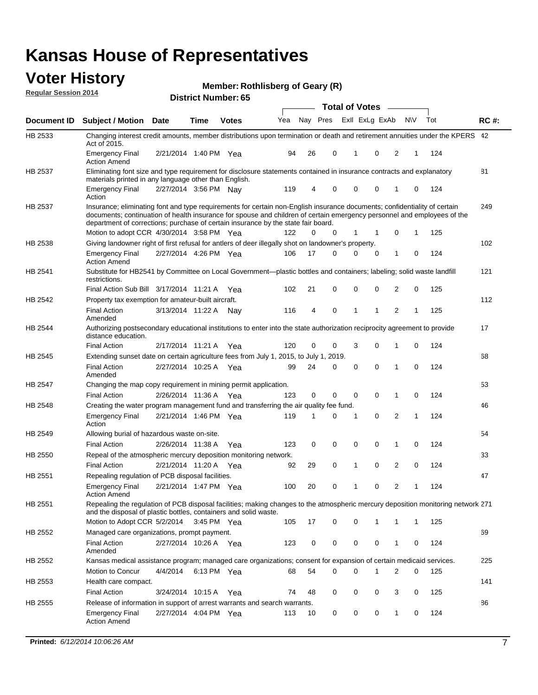#### **Voter History Regular Session 2014**

**Member: Rothlisberg of Geary (R)** 

|             |                                                                                                                                                                                                                                                                                                                                           |                       |             | DISTILICI MUITIDEL 09 |     |    |          | <b>Total of Votes</b> |              |                |                |   |     |             |
|-------------|-------------------------------------------------------------------------------------------------------------------------------------------------------------------------------------------------------------------------------------------------------------------------------------------------------------------------------------------|-----------------------|-------------|-----------------------|-----|----|----------|-----------------------|--------------|----------------|----------------|---|-----|-------------|
| Document ID | <b>Subject / Motion</b>                                                                                                                                                                                                                                                                                                                   | <b>Date</b>           | Time        | <b>Votes</b>          | Yea |    | Nay Pres |                       |              | Exll ExLg ExAb | <b>NV</b>      |   | Tot | <b>RC#:</b> |
| HB 2533     | Changing interest credit amounts, member distributions upon termination or death and retirement annuities under the KPERS 42<br>Act of 2015.                                                                                                                                                                                              |                       |             |                       |     |    |          |                       |              |                |                |   |     |             |
|             | <b>Emergency Final</b><br><b>Action Amend</b>                                                                                                                                                                                                                                                                                             | 2/21/2014 1:40 PM Yea |             |                       | 94  | 26 | 0        |                       | 1            | 0              | 2              | 1 | 124 |             |
| HB 2537     | Eliminating font size and type requirement for disclosure statements contained in insurance contracts and explanatory<br>materials printed in any language other than English.                                                                                                                                                            |                       |             |                       |     |    |          |                       |              |                |                |   |     | 81          |
|             | <b>Emergency Final</b><br>Action                                                                                                                                                                                                                                                                                                          | 2/27/2014 3:56 PM Nay |             |                       | 119 | 4  | 0        |                       | $\mathbf 0$  | 0              | 1              | 0 | 124 |             |
| HB 2537     | Insurance; eliminating font and type requirements for certain non-English insurance documents; confidentiality of certain<br>documents; continuation of health insurance for spouse and children of certain emergency personnel and employees of the<br>department of corrections; purchase of certain insurance by the state fair board. |                       |             |                       |     |    |          |                       |              |                |                |   |     | 249         |
|             | Motion to adopt CCR 4/30/2014 3:58 PM Yea                                                                                                                                                                                                                                                                                                 |                       |             |                       | 122 | 0  | 0        |                       | 1            | 1              | 0              | 1 | 125 |             |
| HB 2538     | Giving landowner right of first refusal for antlers of deer illegally shot on landowner's property.                                                                                                                                                                                                                                       |                       |             |                       |     |    |          |                       |              |                |                |   |     | 102         |
|             | <b>Emergency Final</b><br>Action Amend                                                                                                                                                                                                                                                                                                    | 2/27/2014 4:26 PM Yea |             |                       | 106 | 17 | 0        |                       | $\mathbf 0$  | 0              | 1              | 0 | 124 |             |
| HB 2541     | Substitute for HB2541 by Committee on Local Government—plastic bottles and containers; labeling; solid waste landfill<br>restrictions.                                                                                                                                                                                                    |                       |             |                       |     |    |          |                       |              |                |                |   |     | 121         |
|             | Final Action Sub Bill 3/17/2014 11:21 A Yea                                                                                                                                                                                                                                                                                               |                       |             |                       | 102 | 21 | 0        |                       | $\mathbf 0$  | 0              | 2              | 0 | 125 |             |
| HB 2542     | Property tax exemption for amateur-built aircraft.<br><b>Final Action</b>                                                                                                                                                                                                                                                                 | 3/13/2014 11:22 A     |             | Nav                   | 116 | 4  | 0        |                       | $\mathbf{1}$ | 1              | 2              | 1 | 125 | 112         |
| HB 2544     | Amended<br>Authorizing postsecondary educational institutions to enter into the state authorization reciprocity agreement to provide<br>distance education.                                                                                                                                                                               |                       |             |                       |     |    |          |                       |              |                |                |   |     | 17          |
|             | <b>Final Action</b>                                                                                                                                                                                                                                                                                                                       | 2/17/2014 11:21 A     |             | Yea                   | 120 | 0  | 0        |                       | 3            | 0              | 1              | 0 | 124 |             |
| HB 2545     | Extending sunset date on certain agriculture fees from July 1, 2015, to July 1, 2019.                                                                                                                                                                                                                                                     |                       |             |                       |     |    |          |                       |              |                |                |   |     | 68          |
|             | Final Action<br>Amended                                                                                                                                                                                                                                                                                                                   | 2/27/2014 10:25 A Yea |             |                       | 99  | 24 | 0        |                       | $\mathbf 0$  | $\Omega$       | 1              | 0 | 124 |             |
| HB 2547     | Changing the map copy requirement in mining permit application.                                                                                                                                                                                                                                                                           |                       |             |                       |     |    |          |                       |              |                |                |   |     | 53          |
|             | <b>Final Action</b>                                                                                                                                                                                                                                                                                                                       | 2/26/2014 11:36 A     |             | Yea                   | 123 | 0  | 0        |                       | 0            | 0              | 1              | 0 | 124 |             |
| HB 2548     | Creating the water program management fund and transferring the air quality fee fund.                                                                                                                                                                                                                                                     |                       |             |                       |     |    |          |                       |              |                |                |   |     | 46          |
|             | <b>Emergency Final</b><br>Action                                                                                                                                                                                                                                                                                                          | 2/21/2014 1:46 PM Yea |             |                       | 119 | 1  | 0        |                       | 1            | $\mathbf 0$    | 2              | 1 | 124 |             |
| HB 2549     | Allowing burial of hazardous waste on-site.                                                                                                                                                                                                                                                                                               |                       |             |                       |     |    |          |                       |              |                |                |   |     | 54          |
|             | <b>Final Action</b>                                                                                                                                                                                                                                                                                                                       | 2/26/2014 11:38 A     |             | Yea                   | 123 | 0  | 0        |                       | $\mathbf 0$  | 0              | 1              | 0 | 124 |             |
| HB 2550     | Repeal of the atmospheric mercury deposition monitoring network.                                                                                                                                                                                                                                                                          |                       |             |                       |     |    |          |                       |              |                |                |   |     | 33          |
|             | <b>Final Action</b>                                                                                                                                                                                                                                                                                                                       | 2/21/2014 11:20 A     |             | Yea                   | 92  | 29 | 0        |                       | 1            | 0              | 2              | 0 | 124 |             |
| HB 2551     | Repealing regulation of PCB disposal facilities.                                                                                                                                                                                                                                                                                          |                       |             |                       |     |    |          |                       |              |                |                |   |     | 47          |
|             | Emergency Final<br>Action Amend                                                                                                                                                                                                                                                                                                           | 2/21/2014 1:47 PM Yea |             |                       | 100 | 20 | 0        |                       | 1            | 0              | 2              | 1 | 124 |             |
| HB 2551     | Repealing the regulation of PCB disposal facilities; making changes to the atmospheric mercury deposition monitoring network 271<br>and the disposal of plastic bottles, containers and solid waste.                                                                                                                                      |                       |             |                       |     |    |          |                       |              |                |                |   |     |             |
|             | Motion to Adopt CCR 5/2/2014 3:45 PM Yea                                                                                                                                                                                                                                                                                                  |                       |             |                       | 105 | 17 | 0        |                       | 0            | 1              | 1              | 1 | 125 |             |
| HB 2552     | Managed care organizations, prompt payment.                                                                                                                                                                                                                                                                                               |                       |             |                       |     |    |          |                       |              |                |                |   |     | 69          |
|             | <b>Final Action</b><br>Amended                                                                                                                                                                                                                                                                                                            | 2/27/2014 10:26 A Yea |             |                       | 123 | 0  | 0        |                       | 0            | 0              | 1              | 0 | 124 |             |
| HB 2552     | Kansas medical assistance program; managed care organizations; consent for expansion of certain medicaid services.                                                                                                                                                                                                                        |                       |             |                       |     |    |          |                       |              |                |                |   |     | 225         |
|             | Motion to Concur                                                                                                                                                                                                                                                                                                                          | 4/4/2014              | 6:13 PM Yea |                       | 68  | 54 | 0        |                       | $\mathbf 0$  | 1              | $\overline{2}$ | 0 | 125 |             |
| HB 2553     | Health care compact.                                                                                                                                                                                                                                                                                                                      |                       |             |                       |     |    |          |                       |              |                |                |   |     | 141         |
|             | <b>Final Action</b>                                                                                                                                                                                                                                                                                                                       | 3/24/2014 10:15 A Yea |             |                       | 74  | 48 | 0        |                       | 0            | 0              | 3              | 0 | 125 |             |
| HB 2555     | Release of information in support of arrest warrants and search warrants.                                                                                                                                                                                                                                                                 |                       |             |                       |     |    |          |                       |              |                |                |   |     | 86          |
|             | Emergency Final<br><b>Action Amend</b>                                                                                                                                                                                                                                                                                                    | 2/27/2014 4:04 PM Yea |             |                       | 113 | 10 | 0        |                       | 0            | 0              | $\mathbf{1}$   | 0 | 124 |             |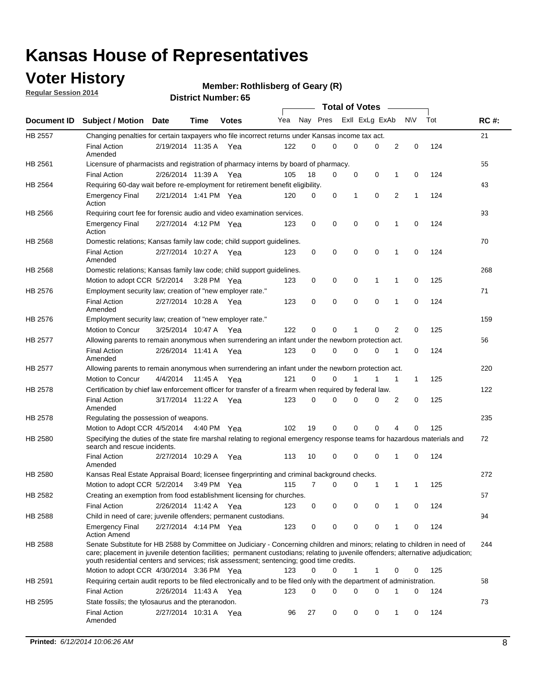### **Voter History**

**Regular Session 2014**

#### **Member: Rothlisberg of Geary (R)**

|                |                                                                                                                                                                                                                                                                                                                                                           |                       |             |              |     |          |   | <b>Total of Votes</b> |             |              |             |     |             |
|----------------|-----------------------------------------------------------------------------------------------------------------------------------------------------------------------------------------------------------------------------------------------------------------------------------------------------------------------------------------------------------|-----------------------|-------------|--------------|-----|----------|---|-----------------------|-------------|--------------|-------------|-----|-------------|
|                | Document ID Subject / Motion Date                                                                                                                                                                                                                                                                                                                         |                       | Time        | <b>Votes</b> | Yea | Nay Pres |   | Exll ExLg ExAb        |             |              | <b>NV</b>   | Tot | <b>RC#:</b> |
| <b>HB 2557</b> | Changing penalties for certain taxpayers who file incorrect returns under Kansas income tax act.                                                                                                                                                                                                                                                          |                       |             |              |     |          |   |                       |             |              |             |     | 21          |
|                | <b>Final Action</b><br>Amended                                                                                                                                                                                                                                                                                                                            | 2/19/2014 11:35 A     |             | Yea          | 122 | 0        | 0 | 0                     | 0           | 2            | $\mathbf 0$ | 124 |             |
| HB 2561        | Licensure of pharmacists and registration of pharmacy interns by board of pharmacy.                                                                                                                                                                                                                                                                       |                       |             |              |     |          |   |                       |             |              |             |     | 55          |
|                | <b>Final Action</b>                                                                                                                                                                                                                                                                                                                                       | 2/26/2014 11:39 A Yea |             |              | 105 | 18       | 0 | 0                     | 0           | 1            | 0           | 124 |             |
| HB 2564        | Requiring 60-day wait before re-employment for retirement benefit eligibility.                                                                                                                                                                                                                                                                            |                       |             |              |     |          |   |                       |             |              |             |     | 43          |
|                | <b>Emergency Final</b><br>Action                                                                                                                                                                                                                                                                                                                          | 2/21/2014 1:41 PM Yea |             |              | 120 | 0        | 0 | 1                     | 0           | 2            | 1           | 124 |             |
| HB 2566        | Requiring court fee for forensic audio and video examination services.                                                                                                                                                                                                                                                                                    |                       |             |              |     |          |   |                       |             |              |             |     | 93          |
|                | <b>Emergency Final</b><br>Action                                                                                                                                                                                                                                                                                                                          | 2/27/2014 4:12 PM Yea |             |              | 123 | 0        | 0 | 0                     | $\mathbf 0$ | $\mathbf{1}$ | 0           | 124 |             |
| HB 2568        | Domestic relations; Kansas family law code; child support guidelines.                                                                                                                                                                                                                                                                                     |                       |             |              |     |          |   |                       |             |              |             |     | 70          |
|                | <b>Final Action</b><br>Amended                                                                                                                                                                                                                                                                                                                            | 2/27/2014 10:27 A     |             | Yea          | 123 | 0        | 0 | 0                     | $\mathbf 0$ | 1            | 0           | 124 |             |
| HB 2568        | Domestic relations; Kansas family law code; child support guidelines.                                                                                                                                                                                                                                                                                     |                       |             |              |     |          |   |                       |             |              |             |     | 268         |
|                | Motion to adopt CCR 5/2/2014                                                                                                                                                                                                                                                                                                                              |                       | 3:28 PM Yea |              | 123 | 0        | 0 | 0                     | 1           | 1            | $\mathbf 0$ | 125 |             |
| HB 2576        | Employment security law; creation of "new employer rate."                                                                                                                                                                                                                                                                                                 |                       |             |              |     |          |   |                       |             |              |             |     | 71          |
|                | <b>Final Action</b><br>Amended                                                                                                                                                                                                                                                                                                                            | 2/27/2014 10:28 A Yea |             |              | 123 | 0        | 0 | 0                     | 0           | 1            | 0           | 124 |             |
| HB 2576        | Employment security law; creation of "new employer rate."                                                                                                                                                                                                                                                                                                 |                       |             |              |     |          |   |                       |             |              |             |     | 159         |
|                | Motion to Concur                                                                                                                                                                                                                                                                                                                                          | 3/25/2014 10:47 A     |             | Yea          | 122 | 0        | 0 | 1                     | 0           | 2            | 0           | 125 |             |
| HB 2577        | Allowing parents to remain anonymous when surrendering an infant under the newborn protection act.                                                                                                                                                                                                                                                        |                       |             |              |     |          |   |                       |             |              |             |     | 56          |
|                | <b>Final Action</b><br>Amended                                                                                                                                                                                                                                                                                                                            | 2/26/2014 11:41 A Yea |             |              | 123 | $\Omega$ | 0 | 0                     | $\Omega$    | 1            | 0           | 124 |             |
| HB 2577        | Allowing parents to remain anonymous when surrendering an infant under the newborn protection act.                                                                                                                                                                                                                                                        |                       |             |              |     |          |   |                       |             |              |             |     | 220         |
|                | Motion to Concur                                                                                                                                                                                                                                                                                                                                          | 4/4/2014              | 11:45 A     | Yea          | 121 | $\Omega$ | 0 | 1                     | 1           | 1            | 1           | 125 |             |
| HB 2578        | Certification by chief law enforcement officer for transfer of a firearm when required by federal law.                                                                                                                                                                                                                                                    |                       |             |              |     |          |   |                       |             |              |             |     | 122         |
|                | <b>Final Action</b><br>Amended                                                                                                                                                                                                                                                                                                                            | 3/17/2014 11:22 A     |             | Yea          | 123 | $\Omega$ | 0 | 0                     | 0           | 2            | 0           | 125 |             |
| HB 2578        | Regulating the possession of weapons.                                                                                                                                                                                                                                                                                                                     |                       |             |              |     |          |   |                       |             |              |             |     | 235         |
|                | Motion to Adopt CCR 4/5/2014 4:40 PM Yea                                                                                                                                                                                                                                                                                                                  |                       |             |              | 102 | 19       | 0 | 0                     | 0           | 4            | 0           | 125 |             |
| HB 2580        | Specifying the duties of the state fire marshal relating to regional emergency response teams for hazardous materials and<br>search and rescue incidents.                                                                                                                                                                                                 |                       |             |              |     |          |   |                       |             |              |             |     | 72          |
|                | <b>Final Action</b><br>Amended                                                                                                                                                                                                                                                                                                                            | 2/27/2014 10:29 A     |             | Yea          | 113 | 10       | 0 | 0                     | $\mathbf 0$ | 1            | 0           | 124 |             |
| HB 2580        | Kansas Real Estate Appraisal Board; licensee fingerprinting and criminal background checks.                                                                                                                                                                                                                                                               |                       |             |              |     |          |   |                       |             |              |             |     | 272         |
|                | Motion to adopt CCR 5/2/2014                                                                                                                                                                                                                                                                                                                              |                       | 3:49 PM Yea |              | 115 | 7        | 0 | 0                     | 1           | 1            | 1           | 125 |             |
| HB 2582        | Creating an exemption from food establishment licensing for churches.                                                                                                                                                                                                                                                                                     |                       |             |              |     |          |   |                       |             |              |             |     | 57          |
|                | <b>Final Action</b>                                                                                                                                                                                                                                                                                                                                       | 2/26/2014 11:42 A Yea |             |              | 123 | 0        | 0 | 0                     | 0           |              | 0           | 124 |             |
| HB 2588        | Child in need of care; juvenile offenders; permanent custodians.                                                                                                                                                                                                                                                                                          |                       |             |              |     |          |   |                       |             |              |             |     | 94          |
|                | <b>Emergency Final</b><br><b>Action Amend</b>                                                                                                                                                                                                                                                                                                             | 2/27/2014 4:14 PM Yea |             |              | 123 | 0        | 0 | 0                     | 0           | 1            | 0           | 124 |             |
| HB 2588        | Senate Substitute for HB 2588 by Committee on Judiciary - Concerning children and minors; relating to children in need of<br>care; placement in juvenile detention facilities; permanent custodians; relating to juvenile offenders; alternative adjudication;<br>youth residential centers and services; risk assessment; sentencing; good time credits. |                       |             |              |     |          |   |                       |             |              |             |     | 244         |
|                | Motion to adopt CCR 4/30/2014 3:36 PM Yea                                                                                                                                                                                                                                                                                                                 |                       |             |              | 123 | 0        | 0 | 1                     | 1           | 0            | 0           | 125 |             |
| HB 2591        | Requiring certain audit reports to be filed electronically and to be filed only with the department of administration.                                                                                                                                                                                                                                    |                       |             |              |     |          |   |                       |             |              |             |     | 58          |
|                | <b>Final Action</b>                                                                                                                                                                                                                                                                                                                                       | 2/26/2014 11:43 A Yea |             |              | 123 | 0        | 0 | 0                     | 0           | 1            | 0           | 124 |             |
| HB 2595        | State fossils; the tylosaurus and the pteranodon.                                                                                                                                                                                                                                                                                                         |                       |             |              |     |          |   |                       |             |              |             |     | 73          |
|                | <b>Final Action</b><br>Amended                                                                                                                                                                                                                                                                                                                            | 2/27/2014 10:31 A Yea |             |              | 96  | 27       | 0 | 0                     | 0           | 1            | 0           | 124 |             |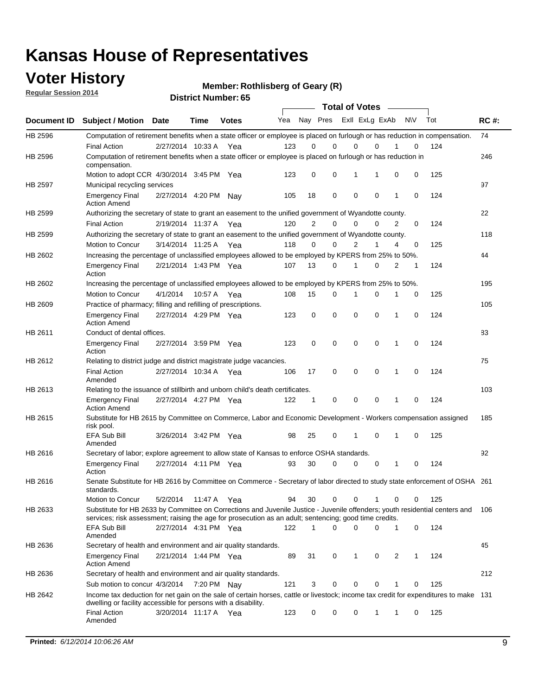### **Voter History**

**Regular Session 2014**

**Member: Rothlisberg of Geary (R)** 

|                    |                                                                                                                                                                                                                                       |                       |             | DISTRICT MAILINGL 05 |     |              |                         |   | <b>Total of Votes</b>      |              |             |     |             |
|--------------------|---------------------------------------------------------------------------------------------------------------------------------------------------------------------------------------------------------------------------------------|-----------------------|-------------|----------------------|-----|--------------|-------------------------|---|----------------------------|--------------|-------------|-----|-------------|
| <b>Document ID</b> | <b>Subject / Motion</b>                                                                                                                                                                                                               | <b>Date</b>           | Time        | <b>Votes</b>         | Yea |              | Nay Pres Exll ExLg ExAb |   |                            | <b>NV</b>    |             | Tot | <b>RC#:</b> |
| HB 2596            | Computation of retirement benefits when a state officer or employee is placed on furlough or has reduction in compensation.                                                                                                           |                       |             |                      |     |              |                         |   |                            |              |             |     | 74          |
|                    | <b>Final Action</b>                                                                                                                                                                                                                   | 2/27/2014 10:33 A     |             | Yea                  | 123 | 0            | $\Omega$                |   | 0<br>$\Omega$              |              | 0           | 124 |             |
| HB 2596            | Computation of retirement benefits when a state officer or employee is placed on furlough or has reduction in<br>compensation.                                                                                                        |                       |             |                      |     |              |                         |   |                            |              |             |     | 246         |
|                    | Motion to adopt CCR 4/30/2014 3:45 PM Yea                                                                                                                                                                                             |                       |             |                      | 123 | 0            | 0                       |   | 1<br>1                     | 0            | 0           | 125 |             |
| HB 2597            | Municipal recycling services                                                                                                                                                                                                          |                       |             |                      |     |              |                         |   |                            |              |             |     | 97          |
|                    | <b>Emergency Final</b><br><b>Action Amend</b>                                                                                                                                                                                         | 2/27/2014 4:20 PM     |             | Nav                  | 105 | 18           | 0                       |   | $\mathbf 0$<br>0           | 1            | $\mathbf 0$ | 124 |             |
| HB 2599            | Authorizing the secretary of state to grant an easement to the unified government of Wyandotte county.                                                                                                                                |                       |             |                      |     |              |                         |   |                            |              |             |     | 22          |
|                    | <b>Final Action</b>                                                                                                                                                                                                                   | 2/19/2014 11:37 A     |             | Yea                  | 120 | 2            | $\mathbf 0$             |   | 0<br>0                     | 2            | 0           | 124 |             |
| HB 2599            | Authorizing the secretary of state to grant an easement to the unified government of Wyandotte county.                                                                                                                                |                       |             |                      |     |              |                         |   |                            |              |             |     | 118         |
|                    | Motion to Concur                                                                                                                                                                                                                      | 3/14/2014 11:25 A     |             | Yea                  | 118 | $\Omega$     | 0                       |   | $\overline{2}$<br>1        | 4            | 0           | 125 |             |
| HB 2602            | Increasing the percentage of unclassified employees allowed to be employed by KPERS from 25% to 50%.                                                                                                                                  |                       |             |                      |     |              |                         |   |                            |              |             |     | 44          |
|                    | <b>Emergency Final</b><br>Action                                                                                                                                                                                                      | 2/21/2014 1:43 PM Yea |             |                      | 107 | 13           | 0                       |   | 0<br>1                     | 2            | 1           | 124 |             |
| HB 2602            | Increasing the percentage of unclassified employees allowed to be employed by KPERS from 25% to 50%.                                                                                                                                  |                       |             |                      |     |              |                         |   |                            |              |             |     | 195         |
|                    | Motion to Concur                                                                                                                                                                                                                      | 4/1/2014              | 10:57 A Yea |                      | 108 | 15           | 0                       | 1 | 0                          |              | 0           | 125 |             |
| HB 2609            | Practice of pharmacy; filling and refilling of prescriptions.                                                                                                                                                                         |                       |             |                      |     |              |                         |   |                            |              |             |     | 105         |
|                    | <b>Emergency Final</b><br><b>Action Amend</b>                                                                                                                                                                                         | 2/27/2014 4:29 PM Yea |             |                      | 123 | 0            | $\mathbf 0$             |   | $\mathbf 0$<br>$\mathbf 0$ | 1            | $\mathbf 0$ | 124 |             |
| HB 2611            | Conduct of dental offices.                                                                                                                                                                                                            |                       |             |                      |     |              |                         |   |                            |              |             |     | 83          |
|                    | <b>Emergency Final</b><br>Action                                                                                                                                                                                                      | 2/27/2014 3:59 PM Yea |             |                      | 123 | 0            | $\mathbf 0$             |   | $\mathbf 0$<br>0           | 1            | 0           | 124 |             |
| HB 2612            | Relating to district judge and district magistrate judge vacancies.                                                                                                                                                                   |                       |             |                      |     |              |                         |   |                            |              |             |     | 75          |
|                    | <b>Final Action</b><br>Amended                                                                                                                                                                                                        | 2/27/2014 10:34 A     |             | Yea                  | 106 | 17           | $\mathbf 0$             |   | $\mathbf 0$<br>0           | 1            | $\mathbf 0$ | 124 |             |
| HB 2613            | Relating to the issuance of stillbirth and unborn child's death certificates.                                                                                                                                                         |                       |             |                      |     |              |                         |   |                            |              |             |     | 103         |
|                    | <b>Emergency Final</b><br><b>Action Amend</b>                                                                                                                                                                                         | 2/27/2014 4:27 PM Yea |             |                      | 122 | 1            | 0                       |   | $\mathbf 0$<br>$\Omega$    | 1            | $\Omega$    | 124 |             |
| HB 2615            | Substitute for HB 2615 by Committee on Commerce, Labor and Economic Development - Workers compensation assigned<br>risk pool.                                                                                                         |                       |             |                      |     |              |                         |   |                            |              |             |     | 185         |
|                    | <b>EFA Sub Bill</b><br>Amended                                                                                                                                                                                                        | 3/26/2014 3:42 PM Yea |             |                      | 98  | 25           | 0                       |   | 1<br>0                     | 1            | 0           | 125 |             |
| HB 2616            | Secretary of labor; explore agreement to allow state of Kansas to enforce OSHA standards.                                                                                                                                             |                       |             |                      |     |              |                         |   |                            |              |             |     | 92          |
|                    | <b>Emergency Final</b><br>Action                                                                                                                                                                                                      | 2/27/2014 4:11 PM Yea |             |                      | 93  | 30           | 0                       |   | 0<br>0                     | 1            | 0           | 124 |             |
| HB 2616            | Senate Substitute for HB 2616 by Committee on Commerce - Secretary of labor directed to study state enforcement of OSHA 261<br>standards.                                                                                             |                       |             |                      |     |              |                         |   |                            |              |             |     |             |
|                    | Motion to Concur                                                                                                                                                                                                                      | 5/2/2014              | 11:47 A Yea |                      | 94  | 30           | 0                       |   | 0                          | 0            | 0           | 125 |             |
| HB 2633            | Substitute for HB 2633 by Committee on Corrections and Juvenile Justice - Juvenile offenders; youth residential centers and<br>services; risk assessment; raising the age for prosecution as an adult; sentencing; good time credits. |                       |             |                      |     |              |                         |   |                            |              |             |     | 106         |
|                    | <b>EFA Sub Bill</b><br>Amended                                                                                                                                                                                                        | 2/27/2014 4:31 PM Yea |             |                      | 122 | $\mathbf{1}$ | $\Omega$                |   | 0<br>0                     | $\mathbf{1}$ | 0           | 124 |             |
| HB 2636            | Secretary of health and environment and air quality standards.                                                                                                                                                                        |                       |             |                      |     |              |                         |   |                            |              |             |     | 45          |
|                    | <b>Emergency Final</b><br><b>Action Amend</b>                                                                                                                                                                                         | 2/21/2014 1:44 PM Yea |             |                      | 89  | 31           | 0                       |   | 1<br>0                     | 2            | 1           | 124 |             |
| HB 2636            | Secretary of health and environment and air quality standards.                                                                                                                                                                        |                       |             |                      |     |              |                         |   |                            |              |             |     | 212         |
|                    | Sub motion to concur 4/3/2014 7:20 PM Nay                                                                                                                                                                                             |                       |             |                      | 121 | 3            | 0                       |   | 0<br>0                     |              | 0           | 125 |             |
| HB 2642            | Income tax deduction for net gain on the sale of certain horses, cattle or livestock; income tax credit for expenditures to make 131<br>dwelling or facility accessible for persons with a disability.                                |                       |             |                      |     |              |                         |   |                            |              |             |     |             |
|                    | <b>Final Action</b><br>Amended                                                                                                                                                                                                        | 3/20/2014 11:17 A Yea |             |                      | 123 | 0            | 0                       | 0 | 1                          | 1            | 0           | 125 |             |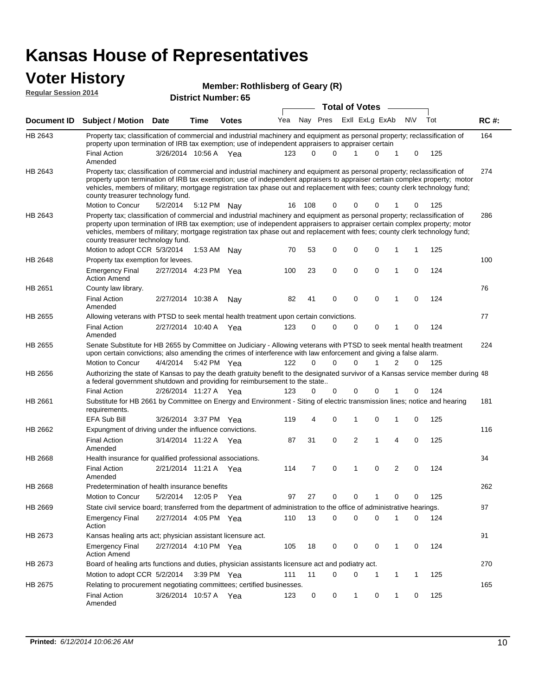### **Voter History**

| Regular Session 2014 |                                                                                                                                                                                                                                                                                                                                                                                                                                                               |                       | <b>District Number: 65</b> |              | <b>Total of Votes</b> |          |          |  |          |                         |             |     |             |
|----------------------|---------------------------------------------------------------------------------------------------------------------------------------------------------------------------------------------------------------------------------------------------------------------------------------------------------------------------------------------------------------------------------------------------------------------------------------------------------------|-----------------------|----------------------------|--------------|-----------------------|----------|----------|--|----------|-------------------------|-------------|-----|-------------|
|                      |                                                                                                                                                                                                                                                                                                                                                                                                                                                               |                       |                            |              |                       |          |          |  |          |                         |             |     |             |
| <b>Document ID</b>   | <b>Subject / Motion Date</b>                                                                                                                                                                                                                                                                                                                                                                                                                                  |                       | Time                       | <b>Votes</b> | Yea                   |          |          |  |          | Nay Pres ExII ExLg ExAb | <b>NV</b>   | Tot | <b>RC#:</b> |
| HB 2643              | Property tax; classification of commercial and industrial machinery and equipment as personal property; reclassification of<br>property upon termination of IRB tax exemption; use of independent appraisers to appraiser certain                                                                                                                                                                                                                             |                       |                            |              |                       |          |          |  |          |                         |             |     | 164         |
|                      | <b>Final Action</b><br>Amended                                                                                                                                                                                                                                                                                                                                                                                                                                | 3/26/2014 10:56 A Yea |                            |              | 123                   | $\Omega$ | $\Omega$ |  |          | 0<br>-1                 | 0           | 125 |             |
| HB 2643              | Property tax; classification of commercial and industrial machinery and equipment as personal property; reclassification of<br>property upon termination of IRB tax exemption; use of independent appraisers to appraiser certain complex property; motor<br>vehicles, members of military; mortgage registration tax phase out and replacement with fees; county clerk technology fund;<br>county treasurer technology fund.                                 |                       |                            |              |                       |          |          |  |          |                         |             |     | 274         |
|                      | Motion to Concur                                                                                                                                                                                                                                                                                                                                                                                                                                              | 5/2/2014              |                            | 5:12 PM Nav  | 16                    | 108      | 0        |  | 0        | 0<br>1                  | 0           | 125 |             |
| HB 2643              | Property tax; classification of commercial and industrial machinery and equipment as personal property; reclassification of<br>property upon termination of IRB tax exemption; use of independent appraisers to appraiser certain complex property; motor<br>vehicles, members of military; mortgage registration tax phase out and replacement with fees; county clerk technology fund;<br>county treasurer technology fund.<br>Motion to adopt CCR 5/3/2014 |                       | 1:53 AM                    |              | 70                    | 53       | 0        |  | 0        | 0<br>1                  | 1           | 125 | 286         |
| HB 2648              | Property tax exemption for levees.                                                                                                                                                                                                                                                                                                                                                                                                                            |                       |                            | Nav          |                       |          |          |  |          |                         |             |     | 100         |
|                      | <b>Emergency Final</b><br><b>Action Amend</b>                                                                                                                                                                                                                                                                                                                                                                                                                 | 2/27/2014 4:23 PM Yea |                            |              | 100                   | 23       | 0        |  | 0        | 0<br>$\mathbf{1}$       | 0           | 124 |             |
| HB 2651              | County law library.<br><b>Final Action</b>                                                                                                                                                                                                                                                                                                                                                                                                                    | 2/27/2014 10:38 A     |                            | Nay          | 82                    | 41       | 0        |  | 0        | 0<br>$\mathbf{1}$       | 0           | 124 | 76          |
|                      | Amended                                                                                                                                                                                                                                                                                                                                                                                                                                                       |                       |                            |              |                       |          |          |  |          |                         |             |     |             |
| HB 2655              | Allowing veterans with PTSD to seek mental health treatment upon certain convictions.                                                                                                                                                                                                                                                                                                                                                                         |                       |                            |              |                       |          |          |  |          |                         |             |     | 77          |
|                      | <b>Final Action</b><br>Amended                                                                                                                                                                                                                                                                                                                                                                                                                                | 2/27/2014 10:40 A Yea |                            |              | 123                   | 0        | 0        |  | 0        | 0<br>$\mathbf{1}$       | 0           | 124 |             |
| HB 2655              | Senate Substitute for HB 2655 by Committee on Judiciary - Allowing veterans with PTSD to seek mental health treatment<br>upon certain convictions; also amending the crimes of interference with law enforcement and giving a false alarm.                                                                                                                                                                                                                    |                       |                            |              |                       |          |          |  |          |                         |             |     | 224         |
|                      | Motion to Concur                                                                                                                                                                                                                                                                                                                                                                                                                                              | 4/4/2014              |                            | 5:42 PM Yea  | 122                   | $\Omega$ | $\Omega$ |  | $\Omega$ | 1<br>2                  | $\Omega$    | 125 |             |
| HB 2656              | Authorizing the state of Kansas to pay the death gratuity benefit to the designated survivor of a Kansas service member during 48<br>a federal government shutdown and providing for reimbursement to the state                                                                                                                                                                                                                                               |                       |                            |              |                       |          |          |  |          |                         |             |     |             |
|                      | <b>Final Action</b>                                                                                                                                                                                                                                                                                                                                                                                                                                           | 2/26/2014 11:27 A Yea |                            |              | 123                   | 0        | 0        |  | 0        | 0<br>1                  | 0           | 124 |             |
| HB 2661              | Substitute for HB 2661 by Committee on Energy and Environment - Siting of electric transmission lines; notice and hearing<br>requirements.                                                                                                                                                                                                                                                                                                                    |                       |                            |              |                       |          |          |  |          |                         |             |     | 181         |
|                      | <b>EFA Sub Bill</b>                                                                                                                                                                                                                                                                                                                                                                                                                                           | 3/26/2014 3:37 PM Yea |                            |              | 119                   | 4        | 0        |  | 1        | 0<br>$\mathbf{1}$       | 0           | 125 |             |
| HB 2662              | Expungment of driving under the influence convictions.                                                                                                                                                                                                                                                                                                                                                                                                        |                       |                            |              |                       |          |          |  |          |                         |             |     | 116         |
|                      | <b>Final Action</b><br>Amended                                                                                                                                                                                                                                                                                                                                                                                                                                | 3/14/2014 11:22 A     |                            | Yea          | 87                    | 31       | 0        |  | 2        | 4<br>1                  | 0           | 125 |             |
| HB 2668              | Health insurance for qualified professional associations.                                                                                                                                                                                                                                                                                                                                                                                                     |                       |                            |              |                       |          |          |  |          |                         |             |     | 34          |
|                      | <b>Final Action</b><br>Amended                                                                                                                                                                                                                                                                                                                                                                                                                                | 2/21/2014 11:21 A Yea |                            |              | 114                   | 7        | 0        |  | 1        | 2<br>0                  | $\mathbf 0$ | 124 |             |
| HB 2668              | Predetermination of health insurance benefits                                                                                                                                                                                                                                                                                                                                                                                                                 |                       |                            |              |                       |          |          |  |          |                         |             |     | 262         |
|                      | <b>Motion to Concur</b>                                                                                                                                                                                                                                                                                                                                                                                                                                       | 5/2/2014              | 12:05 P                    | Yea          | 97                    | 27       | 0        |  | 0        | 0<br>1                  | 0           | 125 |             |
| HB 2669              | State civil service board; transferred from the department of administration to the office of administrative hearings.                                                                                                                                                                                                                                                                                                                                        |                       |                            |              |                       |          |          |  |          |                         |             |     | 87          |
|                      | <b>Emergency Final</b><br>Action                                                                                                                                                                                                                                                                                                                                                                                                                              | 2/27/2014 4:05 PM Yea |                            |              | 110                   | 13       | 0        |  | 0        | 0<br>$\mathbf{1}$       | 0           | 124 |             |
| HB 2673              | Kansas healing arts act; physician assistant licensure act.                                                                                                                                                                                                                                                                                                                                                                                                   |                       |                            |              |                       |          |          |  |          |                         |             |     | 91          |
|                      | <b>Emergency Final</b><br><b>Action Amend</b>                                                                                                                                                                                                                                                                                                                                                                                                                 | 2/27/2014 4:10 PM Yea |                            |              | 105                   | 18       | 0        |  | 0        | 0<br>$\mathbf{1}$       | 0           | 124 |             |
| HB 2673              | Board of healing arts functions and duties, physician assistants licensure act and podiatry act.                                                                                                                                                                                                                                                                                                                                                              |                       |                            |              |                       |          |          |  |          |                         |             |     | 270         |
|                      | Motion to adopt CCR 5/2/2014                                                                                                                                                                                                                                                                                                                                                                                                                                  |                       |                            | 3:39 PM Yea  | 111                   | 11       | 0        |  | 0        | 1<br>1                  | 1           | 125 |             |
| HB 2675              | Relating to procurement negotiating committees; certified businesses.                                                                                                                                                                                                                                                                                                                                                                                         |                       |                            |              |                       |          |          |  |          |                         | 165         |     |             |
|                      | <b>Final Action</b><br>Amended                                                                                                                                                                                                                                                                                                                                                                                                                                | 3/26/2014 10:57 A Yea |                            |              | 123                   | 0        | 0        |  | 1        | 0<br>1                  | 0           | 125 |             |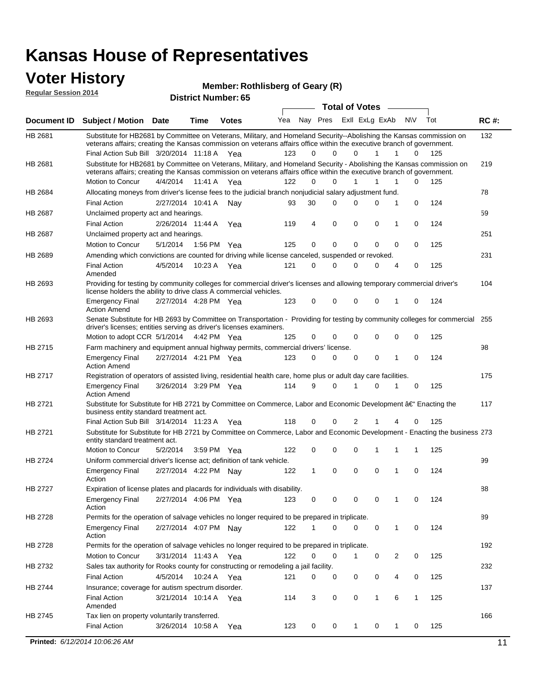#### **Voter History Regular Session 2014**

**Member: Rothlisberg of Geary (R)** 

| noguidi ocoololi 4014 |                                                                                                                                                                                                                                                                                               |                       |                       | <b>District Number: 65</b> |     |    |             |              |                         |              |              |     |             |
|-----------------------|-----------------------------------------------------------------------------------------------------------------------------------------------------------------------------------------------------------------------------------------------------------------------------------------------|-----------------------|-----------------------|----------------------------|-----|----|-------------|--------------|-------------------------|--------------|--------------|-----|-------------|
|                       |                                                                                                                                                                                                                                                                                               |                       |                       |                            |     |    |             |              | <b>Total of Votes</b>   |              |              |     |             |
| <b>Document ID</b>    | <b>Subject / Motion Date</b>                                                                                                                                                                                                                                                                  |                       | <b>Time</b>           | <b>Votes</b>               | Yea |    |             |              | Nay Pres ExII ExLg ExAb |              | N\V          | Tot | <b>RC#:</b> |
| HB 2681               | Substitute for HB2681 by Committee on Veterans, Military, and Homeland Security--Abolishing the Kansas commission on<br>veterans affairs; creating the Kansas commission on veterans affairs office within the executive branch of government.<br>Final Action Sub Bill 3/20/2014 11:18 A Yea |                       |                       |                            | 123 | 0  | $\Omega$    | 0            | 1                       | 1            | 0            | 125 | 132         |
| HB 2681               | Substitute for HB2681 by Committee on Veterans, Military, and Homeland Security - Abolishing the Kansas commission on<br>veterans affairs; creating the Kansas commission on veterans affairs office within the executive branch of government.                                               |                       |                       |                            |     |    |             |              |                         |              |              |     | 219         |
|                       | Motion to Concur                                                                                                                                                                                                                                                                              | 4/4/2014              | 11:41 A               | Yea                        | 122 | 0  | $\Omega$    | 1            | 1                       | 1            | 0            | 125 |             |
| HB 2684               | Allocating moneys from driver's license fees to the judicial branch nonjudicial salary adjustment fund.                                                                                                                                                                                       |                       |                       |                            |     |    |             |              |                         |              |              |     | 78          |
|                       | <b>Final Action</b>                                                                                                                                                                                                                                                                           |                       | 2/27/2014 10:41 A     | Nav                        | 93  | 30 | $\Omega$    | 0            | 0                       | 1            | 0            | 124 |             |
| HB 2687               | Unclaimed property act and hearings.                                                                                                                                                                                                                                                          |                       |                       |                            |     |    |             |              |                         |              |              |     | 59          |
|                       | <b>Final Action</b>                                                                                                                                                                                                                                                                           |                       | 2/26/2014 11:44 A     | Yea                        | 119 | 4  | $\mathbf 0$ | 0            | 0                       | 1            | 0            | 124 |             |
| HB 2687               | Unclaimed property act and hearings.                                                                                                                                                                                                                                                          |                       |                       |                            |     |    |             |              |                         |              |              |     | 251         |
|                       | Motion to Concur                                                                                                                                                                                                                                                                              | 5/1/2014              |                       | 1:56 PM Yea                | 125 | 0  | $\mathbf 0$ | 0            | 0                       | 0            | 0            | 125 |             |
| HB 2689               | Amending which convictions are counted for driving while license canceled, suspended or revoked.                                                                                                                                                                                              |                       |                       |                            |     |    |             |              |                         |              |              |     | 231         |
|                       | <b>Final Action</b><br>Amended                                                                                                                                                                                                                                                                | 4/5/2014              | 10:23 A               | Yea                        | 121 | 0  | 0           | 0            | 0                       | 4            | 0            | 125 |             |
| HB 2693               | Providing for testing by community colleges for commercial driver's licenses and allowing temporary commercial driver's<br>license holders the ability to drive class A commercial vehicles.                                                                                                  |                       |                       |                            |     |    |             |              |                         |              |              |     | 104         |
|                       | <b>Emergency Final</b><br><b>Action Amend</b>                                                                                                                                                                                                                                                 | 2/27/2014 4:28 PM Yea |                       |                            | 123 | 0  | 0           | 0            | 0                       | 1            | 0            | 124 |             |
| HB 2693               | Senate Substitute for HB 2693 by Committee on Transportation - Providing for testing by community colleges for commercial<br>driver's licenses; entities serving as driver's licenses examiners.<br>Motion to adopt CCR 5/1/2014                                                              |                       |                       | 4:42 PM Yea                | 125 | 0  | 0           | 0            | 0                       | 0            | 0            | 125 | 255         |
|                       |                                                                                                                                                                                                                                                                                               |                       |                       |                            |     |    |             |              |                         |              |              |     |             |
| HB 2715               | Farm machinery and equipment annual highway permits, commercial drivers' license.<br><b>Emergency Final</b><br><b>Action Amend</b>                                                                                                                                                            |                       | 2/27/2014 4:21 PM Yea |                            | 123 | 0  | $\Omega$    | 0            | 0                       | 1            | 0            | 124 | 98          |
| HB 2717               | Registration of operators of assisted living, residential health care, home plus or adult day care facilities.                                                                                                                                                                                |                       |                       |                            |     |    |             |              |                         |              |              |     | 175         |
|                       | <b>Emergency Final</b><br><b>Action Amend</b>                                                                                                                                                                                                                                                 |                       | 3/26/2014 3:29 PM Yea |                            | 114 | 9  | $\Omega$    |              | 0                       | 1            | 0            | 125 |             |
| HB 2721               | Substitute for Substitute for HB 2721 by Committee on Commerce, Labor and Economic Development †Enacting the<br>business entity standard treatment act.                                                                                                                                       |                       |                       |                            |     |    |             |              |                         |              |              |     | 117         |
|                       | Final Action Sub Bill 3/14/2014 11:23 A Yea                                                                                                                                                                                                                                                   |                       |                       |                            | 118 | 0  | 0           | 2            | 1                       | 4            | 0            | 125 |             |
| HB 2721               | Substitute for Substitute for HB 2721 by Committee on Commerce, Labor and Economic Development - Enacting the business 273<br>entity standard treatment act.                                                                                                                                  |                       |                       |                            |     |    |             |              |                         |              |              |     |             |
|                       | Motion to Concur                                                                                                                                                                                                                                                                              | 5/2/2014              |                       | 3:59 PM Yea                | 122 | 0  | 0           | 0            | 1                       | 1            | 1            | 125 |             |
| <b>HB 2724</b>        | Uniform commercial driver's license act; definition of tank vehicle.<br><b>Emergency Final</b>                                                                                                                                                                                                |                       | 2/27/2014 4:22 PM Nay |                            | 122 | 1  | 0           | 0            | 0                       | 1            | 0            | 124 | 99          |
| HB 2727               | Action<br>Expiration of license plates and placards for individuals with disability.                                                                                                                                                                                                          |                       |                       |                            |     |    |             |              |                         |              |              |     |             |
|                       | <b>Emergency Final</b><br>Action                                                                                                                                                                                                                                                              |                       | 2/27/2014 4:06 PM Yea |                            | 123 | 0  | 0           | 0            | 0                       | 1            | 0            | 124 | 88          |
| HB 2728               | Permits for the operation of salvage vehicles no longer required to be prepared in triplicate.                                                                                                                                                                                                |                       |                       |                            |     |    |             |              |                         |              |              |     | 89          |
|                       | <b>Emergency Final</b><br>Action                                                                                                                                                                                                                                                              |                       | 2/27/2014 4:07 PM Nay |                            | 122 | 1  | 0           | $\Omega$     | 0                       | $\mathbf{1}$ | 0            | 124 |             |
| HB 2728               | Permits for the operation of salvage vehicles no longer required to be prepared in triplicate.                                                                                                                                                                                                |                       |                       |                            |     |    |             |              |                         |              |              |     | 192         |
|                       | Motion to Concur                                                                                                                                                                                                                                                                              |                       | 3/31/2014 11:43 A Yea |                            | 122 | 0  | 0           | 1            | 0                       | 2            | 0            | 125 |             |
| HB 2732               | Sales tax authority for Rooks county for constructing or remodeling a jail facility.                                                                                                                                                                                                          |                       |                       |                            |     |    |             |              |                         |              |              |     | 232         |
|                       | <b>Final Action</b>                                                                                                                                                                                                                                                                           | 4/5/2014              |                       | 10:24 A Yea                | 121 | 0  | 0           | 0            | 0                       | 4            | 0            | 125 |             |
| HB 2744               | Insurance; coverage for autism spectrum disorder.                                                                                                                                                                                                                                             |                       |                       |                            |     |    |             |              |                         |              |              |     | 137         |
|                       | <b>Final Action</b><br>Amended                                                                                                                                                                                                                                                                |                       | 3/21/2014 10:14 A Yea |                            | 114 | 3  | 0           | 0            | $\mathbf{1}$            | 6            | $\mathbf{1}$ | 125 |             |
| HB 2745               | Tax lien on property voluntarily transferred.                                                                                                                                                                                                                                                 |                       |                       |                            |     |    |             |              |                         |              |              |     | 166         |
|                       | <b>Final Action</b>                                                                                                                                                                                                                                                                           |                       | 3/26/2014 10:58 A     | Yea                        | 123 | 0  | 0           | $\mathbf{1}$ | 0                       | 1            | 0            | 125 |             |
|                       | Printed: 6/12/2014 10:06:26 AM                                                                                                                                                                                                                                                                |                       |                       |                            |     |    |             |              |                         |              |              |     | 11          |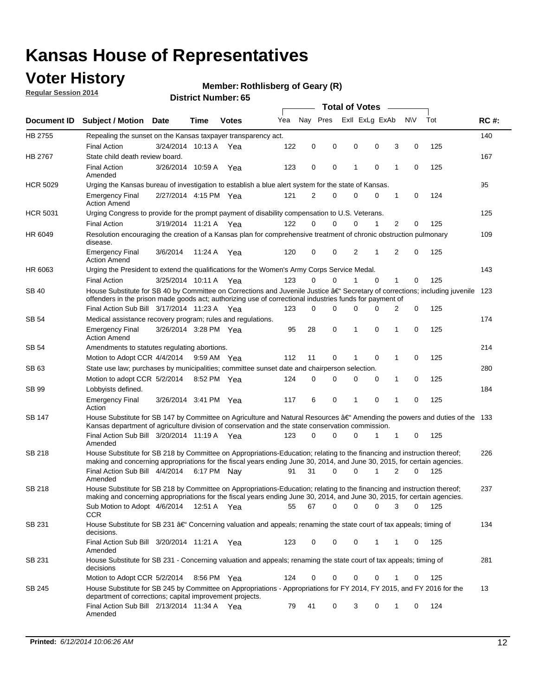### **Voter History**

**Regular Session 2014**

#### **Member: Rothlisberg of Geary (R)**

|                 |                                                                                                                                                                                                                                                      |                       |             | <b>Total of Votes</b> |     |             |          |             |                |  |   |             |     |             |
|-----------------|------------------------------------------------------------------------------------------------------------------------------------------------------------------------------------------------------------------------------------------------------|-----------------------|-------------|-----------------------|-----|-------------|----------|-------------|----------------|--|---|-------------|-----|-------------|
| Document ID     | <b>Subject / Motion Date</b>                                                                                                                                                                                                                         |                       | Time        | <b>Votes</b>          | Yea | Nav Pres    |          |             | Exll ExLg ExAb |  |   | <b>NV</b>   | Tot | <b>RC#:</b> |
| HB 2755         | Repealing the sunset on the Kansas taxpayer transparency act.                                                                                                                                                                                        |                       |             |                       |     |             |          |             |                |  |   |             |     | 140         |
|                 | <b>Final Action</b>                                                                                                                                                                                                                                  | 3/24/2014 10:13 A     |             | Yea                   | 122 | $\mathbf 0$ | 0        | 0           | 0              |  | 3 | 0           | 125 |             |
| HB 2767         | State child death review board.                                                                                                                                                                                                                      |                       |             |                       |     |             |          |             |                |  |   |             |     | 167         |
|                 | <b>Final Action</b><br>Amended                                                                                                                                                                                                                       | 3/26/2014 10:59 A     |             | Yea                   | 123 | 0           | 0        | 1           | $\mathbf 0$    |  | 1 | $\mathbf 0$ | 125 |             |
| <b>HCR 5029</b> | Urging the Kansas bureau of investigation to establish a blue alert system for the state of Kansas.                                                                                                                                                  |                       |             |                       |     |             |          |             |                |  |   |             |     | 95          |
|                 | <b>Emergency Final</b><br><b>Action Amend</b>                                                                                                                                                                                                        | 2/27/2014 4:15 PM Yea |             |                       | 121 | 2           | 0        | $\mathbf 0$ | 0              |  | 1 | 0           | 124 |             |
| <b>HCR 5031</b> | Urging Congress to provide for the prompt payment of disability compensation to U.S. Veterans.                                                                                                                                                       |                       |             |                       |     |             |          |             |                |  |   |             |     | 125         |
|                 | <b>Final Action</b>                                                                                                                                                                                                                                  | 3/19/2014 11:21 A Yea |             |                       | 122 | $\Omega$    | $\Omega$ | 0           | 1              |  | 2 | 0           | 125 |             |
| HR 6049         | Resolution encouraging the creation of a Kansas plan for comprehensive treatment of chronic obstruction pulmonary<br>disease.                                                                                                                        |                       |             |                       |     |             |          |             |                |  |   |             |     | 109         |
|                 | <b>Emergency Final</b><br><b>Action Amend</b>                                                                                                                                                                                                        | 3/6/2014              | 11:24 A     | Yea                   | 120 | $\mathbf 0$ | 0        | 2           | 1              |  | 2 | $\mathbf 0$ | 125 |             |
| HR 6063         | Urging the President to extend the qualifications for the Women's Army Corps Service Medal.                                                                                                                                                          |                       |             |                       |     |             |          |             |                |  |   |             |     | 143         |
|                 | <b>Final Action</b>                                                                                                                                                                                                                                  | 3/25/2014 10:11 A Yea |             |                       | 123 | 0           | $\Omega$ | 1           | $\Omega$       |  | 1 | 0           | 125 |             |
| <b>SB 40</b>    | House Substitute for SB 40 by Committee on Corrections and Juvenile Justice †Secretary of corrections; including juvenile<br>offenders in the prison made goods act; authorizing use of correctional industries funds for payment of                 |                       |             |                       |     |             |          |             |                |  |   |             |     | 123         |
|                 | Final Action Sub Bill 3/17/2014 11:23 A Yea                                                                                                                                                                                                          |                       |             |                       | 123 | 0           | 0        | 0           | 0              |  | 2 | 0           | 125 |             |
| <b>SB 54</b>    | Medical assistance recovery program; rules and regulations.                                                                                                                                                                                          |                       |             |                       |     |             |          |             |                |  |   |             |     | 174         |
|                 | <b>Emergency Final</b><br><b>Action Amend</b>                                                                                                                                                                                                        | 3/26/2014 3:28 PM Yea |             |                       | 95  | 28          | 0        | 1           | 0              |  | 1 | $\mathbf 0$ | 125 |             |
| <b>SB 54</b>    | Amendments to statutes regulating abortions.                                                                                                                                                                                                         |                       |             |                       |     |             |          |             |                |  |   |             |     | 214         |
|                 | Motion to Adopt CCR 4/4/2014                                                                                                                                                                                                                         |                       | 9:59 AM Yea |                       | 112 | 11          | 0        | 1           | 0              |  | 1 | 0           | 125 |             |
| SB 63           | State use law; purchases by municipalities; committee sunset date and chairperson selection.                                                                                                                                                         |                       |             |                       |     |             |          |             |                |  |   |             |     | 280         |
|                 | Motion to adopt CCR 5/2/2014                                                                                                                                                                                                                         |                       | 8:52 PM Yea |                       | 124 | $\mathbf 0$ | 0        | 0           | 0              |  | 1 | 0           | 125 |             |
| SB 99           | Lobbyists defined.                                                                                                                                                                                                                                   |                       |             |                       |     |             |          |             |                |  |   |             |     | 184         |
|                 | <b>Emergency Final</b><br>Action                                                                                                                                                                                                                     | 3/26/2014 3:41 PM Yea |             |                       | 117 | 6           | 0        | 1           | 0              |  | 1 | $\mathbf 0$ | 125 |             |
| SB 147          | House Substitute for SB 147 by Committee on Agriculture and Natural Resources †Amending the powers and duties of the 133<br>Kansas department of agriculture division of conservation and the state conservation commission.                         |                       |             |                       |     |             |          |             |                |  |   |             |     |             |
|                 | Final Action Sub Bill 3/20/2014 11:19 A Yea<br>Amended                                                                                                                                                                                               |                       |             |                       | 123 | $\Omega$    | 0        | 0           | 1              |  | 1 | 0           | 125 |             |
| <b>SB 218</b>   | House Substitute for SB 218 by Committee on Appropriations-Education; relating to the financing and instruction thereof;<br>making and concerning appropriations for the fiscal years ending June 30, 2014, and June 30, 2015, for certain agencies. |                       |             |                       |     |             |          |             |                |  |   |             |     | 226         |
|                 | Final Action Sub Bill 4/4/2014 6:17 PM Nay<br>Amended                                                                                                                                                                                                |                       |             |                       | 91  | 31          | 0        | 0           | 1              |  | 2 | $\Omega$    | 125 |             |
| <b>SB 218</b>   | House Substitute for SB 218 by Committee on Appropriations-Education; relating to the financing and instruction thereof;                                                                                                                             |                       |             |                       |     |             |          |             |                |  |   |             |     | 237         |
|                 | making and concerning appropriations for the fiscal years ending June 30, 2014, and June 30, 2015, for certain agencies.<br>Sub Motion to Adopt 4/6/2014 12:51 A Yea<br><b>CCR</b>                                                                   |                       |             |                       | 55  | 67          | 0        | 0           | 0              |  | 3 | 0           | 125 |             |
| SB 231          | House Substitute for SB 231 †Concerning valuation and appeals; renaming the state court of tax appeals; timing of<br>decisions.                                                                                                                      |                       |             |                       |     |             |          |             |                |  |   |             |     | 134         |
|                 | Final Action Sub Bill 3/20/2014 11:21 A Yea<br>Amended                                                                                                                                                                                               |                       |             |                       | 123 | 0           | 0        | 0           | 1              |  | 1 | 0           | 125 |             |
| SB 231          | House Substitute for SB 231 - Concerning valuation and appeals; renaming the state court of tax appeals; timing of<br>decisions                                                                                                                      |                       |             |                       |     |             |          |             |                |  |   |             |     | 281         |
|                 | Motion to Adopt CCR 5/2/2014                                                                                                                                                                                                                         |                       | 8:56 PM Yea |                       | 124 | 0           | 0        | 0           | 0              |  | 1 | 0           | 125 |             |
| SB 245          | House Substitute for SB 245 by Committee on Appropriations - Appropriations for FY 2014, FY 2015, and FY 2016 for the<br>department of corrections; capital improvement projects.                                                                    |                       |             |                       |     |             |          |             |                |  |   |             |     | 13          |
|                 | Final Action Sub Bill 2/13/2014 11:34 A Yea<br>Amended                                                                                                                                                                                               |                       |             |                       | 79  | 41          | 0        | 3           | 0              |  | 1 | 0           | 124 |             |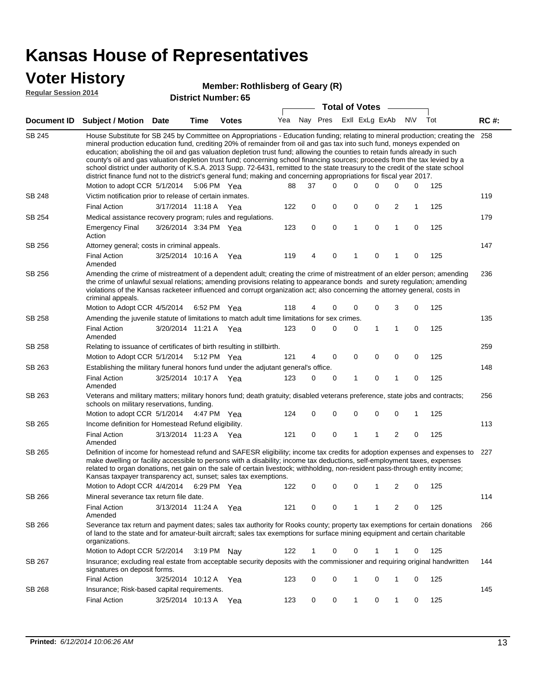#### **Voter History**

|                             | P . P . T . I . P . P . P                                                                                                                                                                                                                                                                                                                                                                                                                                                                                                                                                                                                                                                                                                                                                                                         |                       |             | Member: Rothlisberg of Geary (R) |     |             |          |                       |             |                |             |     |             |
|-----------------------------|-------------------------------------------------------------------------------------------------------------------------------------------------------------------------------------------------------------------------------------------------------------------------------------------------------------------------------------------------------------------------------------------------------------------------------------------------------------------------------------------------------------------------------------------------------------------------------------------------------------------------------------------------------------------------------------------------------------------------------------------------------------------------------------------------------------------|-----------------------|-------------|----------------------------------|-----|-------------|----------|-----------------------|-------------|----------------|-------------|-----|-------------|
| <b>Regular Session 2014</b> |                                                                                                                                                                                                                                                                                                                                                                                                                                                                                                                                                                                                                                                                                                                                                                                                                   |                       |             | <b>District Number: 65</b>       |     |             |          |                       |             |                |             |     |             |
|                             |                                                                                                                                                                                                                                                                                                                                                                                                                                                                                                                                                                                                                                                                                                                                                                                                                   |                       |             |                                  |     |             |          | <b>Total of Votes</b> |             |                |             |     |             |
| <b>Document ID</b>          | <b>Subject / Motion</b>                                                                                                                                                                                                                                                                                                                                                                                                                                                                                                                                                                                                                                                                                                                                                                                           | Date                  | Time        | <b>Votes</b>                     | Yea | Nay Pres    |          | Exll ExLg ExAb        |             |                | <b>NV</b>   | Tot | <b>RC#:</b> |
| <b>SB 245</b>               | House Substitute for SB 245 by Committee on Appropriations - Education funding; relating to mineral production; creating the 258<br>mineral production education fund, crediting 20% of remainder from oil and gas tax into such fund, moneys expended on<br>education; abolishing the oil and gas valuation depletion trust fund; allowing the counties to retain funds already in such<br>county's oil and gas valuation depletion trust fund; concerning school financing sources; proceeds from the tax levied by a<br>school district under authority of K.S.A. 2013 Supp. 72-6431, remitted to the state treasury to the credit of the state school<br>district finance fund not to the district's general fund; making and concerning appropriations for fiscal year 2017.<br>Motion to adopt CCR 5/1/2014 |                       | 5:06 PM Yea |                                  | 88  | 37          | $\Omega$ | 0                     | 0           | 0              | 0           | 125 |             |
| SB 248                      | Victim notification prior to release of certain inmates.                                                                                                                                                                                                                                                                                                                                                                                                                                                                                                                                                                                                                                                                                                                                                          |                       |             |                                  |     |             |          |                       |             |                |             |     | 119         |
|                             | <b>Final Action</b>                                                                                                                                                                                                                                                                                                                                                                                                                                                                                                                                                                                                                                                                                                                                                                                               | 3/17/2014 11:18 A Yea |             |                                  | 122 | 0           | 0        | $\mathbf 0$           | 0           | $\overline{c}$ | 1           | 125 |             |
| SB 254                      | Medical assistance recovery program; rules and regulations.                                                                                                                                                                                                                                                                                                                                                                                                                                                                                                                                                                                                                                                                                                                                                       |                       |             |                                  |     |             |          |                       |             |                |             |     | 179         |
|                             | <b>Emergency Final</b><br>Action                                                                                                                                                                                                                                                                                                                                                                                                                                                                                                                                                                                                                                                                                                                                                                                  | 3/26/2014 3:34 PM Yea |             |                                  | 123 | $\mathbf 0$ | 0        | 1                     | 0           | $\mathbf{1}$   | $\mathbf 0$ | 125 |             |
| SB 256                      | Attorney general; costs in criminal appeals.                                                                                                                                                                                                                                                                                                                                                                                                                                                                                                                                                                                                                                                                                                                                                                      |                       |             |                                  |     |             |          |                       |             |                |             |     | 147         |
|                             | <b>Final Action</b><br>Amended                                                                                                                                                                                                                                                                                                                                                                                                                                                                                                                                                                                                                                                                                                                                                                                    | 3/25/2014 10:16 A     |             | Yea                              | 119 | 4           | 0        | 1                     | 0           | 1              | 0           | 125 |             |
| SB 256                      | Amending the crime of mistreatment of a dependent adult; creating the crime of mistreatment of an elder person; amending<br>the crime of unlawful sexual relations; amending provisions relating to appearance bonds and surety regulation; amending<br>violations of the Kansas racketeer influenced and corrupt organization act; also concerning the attorney general, costs in<br>criminal appeals.                                                                                                                                                                                                                                                                                                                                                                                                           |                       |             |                                  |     |             |          |                       |             |                |             |     | 236         |
|                             | Motion to Adopt CCR 4/5/2014 6:52 PM Yea                                                                                                                                                                                                                                                                                                                                                                                                                                                                                                                                                                                                                                                                                                                                                                          |                       |             |                                  | 118 | 4           | 0        | $\Omega$              | 0           | 3              | 0           | 125 |             |
| <b>SB 258</b>               | Amending the juvenile statute of limitations to match adult time limitations for sex crimes.                                                                                                                                                                                                                                                                                                                                                                                                                                                                                                                                                                                                                                                                                                                      |                       |             |                                  |     |             |          |                       |             |                |             |     | 135         |
|                             | <b>Final Action</b><br>Amended                                                                                                                                                                                                                                                                                                                                                                                                                                                                                                                                                                                                                                                                                                                                                                                    | 3/20/2014 11:21 A Yea |             |                                  | 123 | $\Omega$    | $\Omega$ | 0                     | 1           | 1              | 0           | 125 |             |
| SB 258                      | Relating to issuance of certificates of birth resulting in stillbirth.                                                                                                                                                                                                                                                                                                                                                                                                                                                                                                                                                                                                                                                                                                                                            |                       |             |                                  |     |             |          |                       |             |                |             |     | 259         |
|                             | Motion to Adopt CCR 5/1/2014                                                                                                                                                                                                                                                                                                                                                                                                                                                                                                                                                                                                                                                                                                                                                                                      |                       | 5:12 PM Yea |                                  | 121 | 4           | 0        | 0                     | $\mathbf 0$ | 0              | $\mathbf 0$ | 125 |             |
| SB 263                      | Establishing the military funeral honors fund under the adjutant general's office.                                                                                                                                                                                                                                                                                                                                                                                                                                                                                                                                                                                                                                                                                                                                |                       |             |                                  |     |             |          |                       |             |                |             |     | 148         |
|                             | <b>Final Action</b><br>Amended                                                                                                                                                                                                                                                                                                                                                                                                                                                                                                                                                                                                                                                                                                                                                                                    | 3/25/2014 10:17 A     |             | Yea                              | 123 | 0           | 0        | 1                     | 0           | $\mathbf{1}$   | 0           | 125 |             |
| SB 263                      | Veterans and military matters; military honors fund; death gratuity; disabled veterans preference, state jobs and contracts;<br>schools on military reservations, funding.                                                                                                                                                                                                                                                                                                                                                                                                                                                                                                                                                                                                                                        |                       |             |                                  |     |             |          |                       |             |                |             |     | 256         |
|                             | Motion to adopt CCR 5/1/2014                                                                                                                                                                                                                                                                                                                                                                                                                                                                                                                                                                                                                                                                                                                                                                                      |                       | 4:47 PM Yea |                                  | 124 | 0           | 0        | $\mathbf 0$           | 0           | $\mathbf 0$    | 1           | 125 |             |
| SB 265                      | Income definition for Homestead Refund eligibility.<br><b>Final Action</b>                                                                                                                                                                                                                                                                                                                                                                                                                                                                                                                                                                                                                                                                                                                                        | 3/13/2014 11:23 A Yea |             |                                  | 121 | $\mathbf 0$ | 0        | 1                     | 1           | 2              | 0           | 125 | 113         |
| SB 265                      | Amended<br>Definition of income for homestead refund and SAFESR eligibility; income tax credits for adoption expenses and expenses to 227<br>make dwelling or facility accessible to persons with a disability; income tax deductions, self-employment taxes, expenses<br>related to organ donations, net gain on the sale of certain livestock; withholding, non-resident pass-through entity income;<br>Kansas taxpayer transparency act, sunset; sales tax exemptions.<br>Motion to Adopt CCR 4/4/2014                                                                                                                                                                                                                                                                                                         |                       | 6:29 PM Yea |                                  | 122 | 0           | 0        | 0                     |             | 2              | 0           | 125 |             |
| SB 266                      | Mineral severance tax return file date.                                                                                                                                                                                                                                                                                                                                                                                                                                                                                                                                                                                                                                                                                                                                                                           |                       |             |                                  |     |             |          |                       |             |                |             |     | 114         |
|                             | <b>Final Action</b><br>Amended                                                                                                                                                                                                                                                                                                                                                                                                                                                                                                                                                                                                                                                                                                                                                                                    | 3/13/2014 11:24 A     |             | Yea                              | 121 | 0           | 0        | 1                     | 1           | 2              | 0           | 125 |             |
| SB 266                      | Severance tax return and payment dates; sales tax authority for Rooks county; property tax exemptions for certain donations<br>of land to the state and for amateur-built aircraft; sales tax exemptions for surface mining equipment and certain charitable<br>organizations.                                                                                                                                                                                                                                                                                                                                                                                                                                                                                                                                    |                       |             |                                  |     |             |          |                       |             |                |             |     | 266         |
|                             | Motion to Adopt CCR 5/2/2014                                                                                                                                                                                                                                                                                                                                                                                                                                                                                                                                                                                                                                                                                                                                                                                      |                       | 3:19 PM Nay |                                  | 122 | 1           | 0        | 0                     | 1           | 1              | 0           | 125 |             |
| SB 267                      | Insurance; excluding real estate from acceptable security deposits with the commissioner and requiring original handwritten                                                                                                                                                                                                                                                                                                                                                                                                                                                                                                                                                                                                                                                                                       |                       |             |                                  |     |             |          |                       |             |                |             |     | 144         |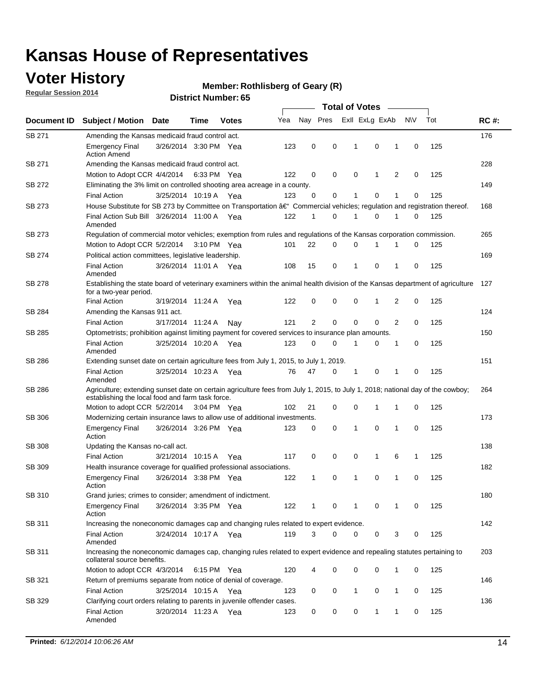### **Voter History**

**Regular Session 2014**

#### **Member: Rothlisberg of Geary (R)**

|               |                                                                                                                                                                                    |                       |      |              |     | <b>Total of Votes</b> |             |              |  |                |   |             |     |             |  |
|---------------|------------------------------------------------------------------------------------------------------------------------------------------------------------------------------------|-----------------------|------|--------------|-----|-----------------------|-------------|--------------|--|----------------|---|-------------|-----|-------------|--|
| Document ID   | <b>Subject / Motion Date</b>                                                                                                                                                       |                       | Time | <b>Votes</b> | Yea |                       | Nay Pres    |              |  | Exll ExLg ExAb |   | N\V         | Tot | <b>RC#:</b> |  |
| SB 271        | Amending the Kansas medicaid fraud control act.                                                                                                                                    |                       |      |              |     |                       |             |              |  |                |   |             |     | 176         |  |
|               | <b>Emergency Final</b><br><b>Action Amend</b>                                                                                                                                      | 3/26/2014 3:30 PM Yea |      |              | 123 | 0                     | 0           | -1           |  | 0              | 1 | 0           | 125 |             |  |
| SB 271        | Amending the Kansas medicaid fraud control act.                                                                                                                                    |                       |      |              |     |                       |             |              |  |                |   |             |     | 228         |  |
|               | Motion to Adopt CCR 4/4/2014 6:33 PM Yea                                                                                                                                           |                       |      |              | 122 | 0                     | 0           | 0            |  | 1              | 2 | 0           | 125 |             |  |
| SB 272        | Eliminating the 3% limit on controlled shooting area acreage in a county.                                                                                                          |                       |      |              |     |                       |             |              |  |                |   |             |     | 149         |  |
|               | <b>Final Action</b>                                                                                                                                                                | 3/25/2014 10:19 A Yea |      |              | 123 | 0                     | 0           | 1            |  | 0              | 1 | 0           | 125 |             |  |
| SB 273        | House Substitute for SB 273 by Committee on Transportation †Commercial vehicles; regulation and registration thereof.                                                              |                       |      |              |     |                       |             |              |  |                |   |             |     | 168         |  |
|               | Final Action Sub Bill 3/26/2014 11:00 A Yea<br>Amended                                                                                                                             |                       |      |              | 122 | 1                     | 0           | 1            |  | 0              | 1 | 0           | 125 |             |  |
| SB 273        | Regulation of commercial motor vehicles; exemption from rules and regulations of the Kansas corporation commission.                                                                |                       |      |              |     |                       |             |              |  |                |   |             |     | 265         |  |
|               | Motion to Adopt CCR 5/2/2014 3:10 PM Yea                                                                                                                                           |                       |      |              | 101 | 22                    | 0           | 0            |  | 1              | 1 | 0           | 125 |             |  |
| SB 274        | Political action committees, legislative leadership.                                                                                                                               |                       |      |              |     |                       |             |              |  |                |   |             |     | 169         |  |
|               | <b>Final Action</b><br>Amended                                                                                                                                                     | 3/26/2014 11:01 A Yea |      |              | 108 | 15                    | 0           | $\mathbf{1}$ |  | $\mathbf 0$    | 1 | 0           | 125 |             |  |
| <b>SB 278</b> | Establishing the state board of veterinary examiners within the animal health division of the Kansas department of agriculture<br>for a two-year period.                           |                       |      |              |     |                       |             |              |  |                |   |             |     | 127         |  |
|               | <b>Final Action</b>                                                                                                                                                                | 3/19/2014 11:24 A     |      | Yea          | 122 | 0                     | 0           | 0            |  | 1              | 2 | 0           | 125 |             |  |
| SB 284        | Amending the Kansas 911 act.                                                                                                                                                       |                       |      |              |     |                       |             |              |  |                |   |             |     | 124         |  |
|               | <b>Final Action</b>                                                                                                                                                                | 3/17/2014 11:24 A     |      | Nav          | 121 | $\overline{2}$        | $\mathbf 0$ | $\mathbf 0$  |  | $\mathbf 0$    | 2 | 0           | 125 |             |  |
| SB 285        | Optometrists; prohibition against limiting payment for covered services to insurance plan amounts.                                                                                 |                       |      |              |     |                       |             |              |  |                |   |             |     | 150         |  |
|               | <b>Final Action</b><br>Amended                                                                                                                                                     | 3/25/2014 10:20 A     |      | Yea          | 123 | 0                     | 0           | $\mathbf{1}$ |  | 0              | 1 | $\mathbf 0$ | 125 |             |  |
| SB 286        | Extending sunset date on certain agriculture fees from July 1, 2015, to July 1, 2019.                                                                                              |                       |      |              |     |                       |             |              |  |                |   |             |     | 151         |  |
|               | <b>Final Action</b><br>Amended                                                                                                                                                     | 3/25/2014 10:23 A Yea |      |              | 76  | 47                    | 0           | -1           |  | 0              | 1 | 0           | 125 |             |  |
| SB 286        | Agriculture; extending sunset date on certain agriculture fees from July 1, 2015, to July 1, 2018; national day of the cowboy;<br>establishing the local food and farm task force. |                       |      |              |     |                       |             |              |  |                |   |             |     | 264         |  |
|               | Motion to adopt CCR 5/2/2014 3:04 PM Yea                                                                                                                                           |                       |      |              | 102 | 21                    | 0           | 0            |  | 1              | 1 | 0           | 125 |             |  |
| <b>SB 306</b> | Modernizing certain insurance laws to allow use of additional investments.                                                                                                         |                       |      |              |     |                       |             |              |  |                |   |             |     | 173         |  |
|               | <b>Emergency Final</b><br>Action                                                                                                                                                   | 3/26/2014 3:26 PM Yea |      |              | 123 | 0                     | 0           | 1            |  | 0              | 1 | 0           | 125 |             |  |
| <b>SB 308</b> | Updating the Kansas no-call act.                                                                                                                                                   |                       |      |              |     |                       |             |              |  |                |   |             |     | 138         |  |
|               | <b>Final Action</b>                                                                                                                                                                | 3/21/2014 10:15 A     |      | Yea          | 117 | 0                     | 0           | 0            |  | $\mathbf{1}$   | 6 | 1           | 125 |             |  |
| SB 309        | Health insurance coverage for qualified professional associations.                                                                                                                 |                       |      |              |     |                       |             |              |  |                |   |             |     | 182         |  |
|               | <b>Emergency Final</b><br>Action                                                                                                                                                   | 3/26/2014 3:38 PM Yea |      |              | 122 | $\mathbf{1}$          | 0           | 1            |  | 0              | 1 | $\mathbf 0$ | 125 |             |  |
| SB 310        | Grand juries; crimes to consider; amendment of indictment.                                                                                                                         |                       |      |              |     |                       |             |              |  |                |   |             |     | 180         |  |
|               | <b>Emergency Final</b><br>Action                                                                                                                                                   | 3/26/2014 3:35 PM Yea |      |              | 122 | 1                     | 0           | 1            |  | 0              | 1 | 0           | 125 |             |  |
| SB 311        | Increasing the noneconomic damages cap and changing rules related to expert evidence.                                                                                              |                       |      |              |     |                       |             |              |  |                |   |             |     | 142         |  |
|               | <b>Final Action</b><br>Amended                                                                                                                                                     | 3/24/2014 10:17 A Yea |      |              | 119 | 3                     | $\Omega$    | 0            |  | 0              | 3 | 0           | 125 |             |  |
| SB 311        | Increasing the noneconomic damages cap, changing rules related to expert evidence and repealing statutes pertaining to<br>collateral source benefits.                              |                       |      |              |     |                       |             |              |  |                |   |             |     | 203         |  |
|               | Motion to adopt CCR 4/3/2014 6:15 PM Yea                                                                                                                                           |                       |      |              | 120 |                       | 0           | 0            |  | 0              | 1 | 0           | 125 |             |  |
| SB 321        | Return of premiums separate from notice of denial of coverage.                                                                                                                     |                       |      |              |     |                       |             |              |  |                |   |             |     | 146         |  |
|               | <b>Final Action</b>                                                                                                                                                                | 3/25/2014 10:15 A Yea |      |              | 123 | 0                     | 0           | $\mathbf{1}$ |  | 0              | 1 | 0           | 125 |             |  |
| SB 329        | Clarifying court orders relating to parents in juvenile offender cases.<br><b>Final Action</b><br>Amended                                                                          | 3/20/2014 11:23 A Yea |      |              | 123 | 0                     | 0           | 0            |  | 1              | 1 | 0           | 125 | 136         |  |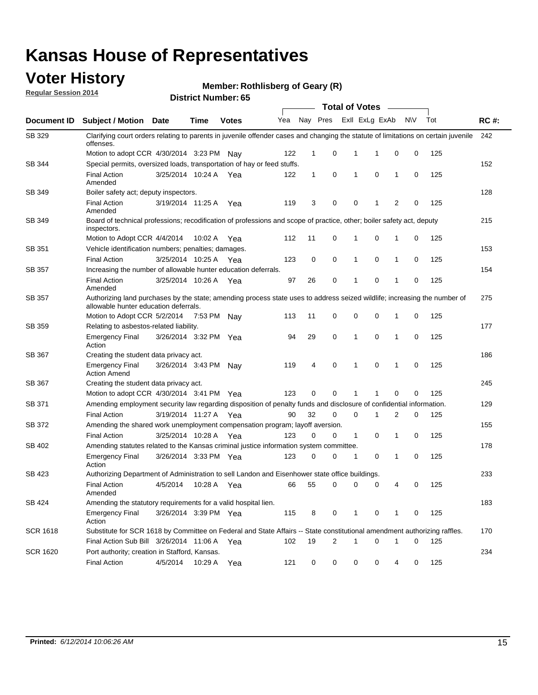### **Voter History**

**Regular Session 2014**

**Member: Rothlisberg of Geary (R)** 

|                 |                                                                                                                                                                    |                       |             | <b>Total of Votes</b> |     |              |   |                         |             |              |           |     |             |  |
|-----------------|--------------------------------------------------------------------------------------------------------------------------------------------------------------------|-----------------------|-------------|-----------------------|-----|--------------|---|-------------------------|-------------|--------------|-----------|-----|-------------|--|
| Document ID     | <b>Subject / Motion Date</b>                                                                                                                                       |                       | Time        | <b>Votes</b>          | Yea |              |   | Nay Pres ExII ExLg ExAb |             |              | <b>NV</b> | Tot | <b>RC#:</b> |  |
| SB 329          | Clarifying court orders relating to parents in juvenile offender cases and changing the statute of limitations on certain juvenile<br>offenses.                    |                       |             |                       |     |              |   |                         |             |              |           |     | 242         |  |
|                 | Motion to adopt CCR 4/30/2014 3:23 PM Nay                                                                                                                          |                       |             |                       | 122 | $\mathbf 1$  | 0 | 1                       | -1          | $\mathbf 0$  | 0         | 125 |             |  |
| SB 344          | Special permits, oversized loads, transportation of hay or feed stuffs.                                                                                            |                       |             |                       |     |              |   |                         |             |              |           |     | 152         |  |
|                 | <b>Final Action</b><br>Amended                                                                                                                                     | 3/25/2014 10:24 A     |             | Yea                   | 122 | $\mathbf{1}$ | 0 | $\mathbf{1}$            | $\mathbf 0$ | $\mathbf{1}$ | 0         | 125 |             |  |
| SB 349          | Boiler safety act; deputy inspectors.                                                                                                                              |                       |             |                       |     |              |   |                         |             |              |           |     | 128         |  |
|                 | <b>Final Action</b><br>Amended                                                                                                                                     | 3/19/2014 11:25 A     |             | Yea                   | 119 | 3            | 0 | 0                       | 1           | 2            | 0         | 125 |             |  |
| <b>SB 349</b>   | Board of technical professions; recodification of professions and scope of practice, other; boiler safety act, deputy<br>inspectors.                               |                       |             |                       |     |              |   |                         |             |              |           |     | 215         |  |
|                 | Motion to Adopt CCR 4/4/2014                                                                                                                                       |                       | 10:02 A     | Yea                   | 112 | 11           | 0 | 1                       | 0           | 1            | 0         | 125 |             |  |
| SB 351          | Vehicle identification numbers; penalties; damages.                                                                                                                |                       |             |                       |     |              |   |                         |             |              |           |     | 153         |  |
|                 | <b>Final Action</b>                                                                                                                                                | 3/25/2014 10:25 A     |             | Yea                   | 123 | 0            | 0 | $\mathbf{1}$            | 0           | 1            | 0         | 125 |             |  |
| <b>SB 357</b>   | Increasing the number of allowable hunter education deferrals.                                                                                                     |                       |             |                       |     |              |   |                         |             |              |           |     | 154         |  |
|                 | <b>Final Action</b><br>Amended                                                                                                                                     | 3/25/2014 10:26 A     |             | Yea                   | 97  | 26           | 0 | 1                       | 0           | 1            | 0         | 125 |             |  |
| SB 357          | Authorizing land purchases by the state; amending process state uses to address seized wildlife; increasing the number of<br>allowable hunter education deferrals. |                       |             |                       |     |              |   |                         |             |              |           |     | 275         |  |
|                 | Motion to Adopt CCR 5/2/2014                                                                                                                                       |                       | 7:53 PM Nay |                       | 113 | 11           | 0 | 0                       | 0           | 1            | 0         | 125 |             |  |
| SB 359          | Relating to asbestos-related liability.                                                                                                                            |                       |             |                       |     |              |   |                         |             |              |           |     | 177         |  |
|                 | <b>Emergency Final</b><br>Action                                                                                                                                   | 3/26/2014 3:32 PM Yea |             |                       | 94  | 29           | 0 | $\mathbf{1}$            | 0           | 1            | 0         | 125 |             |  |
| SB 367          | Creating the student data privacy act.                                                                                                                             |                       |             |                       |     |              |   |                         |             |              |           |     | 186         |  |
|                 | <b>Emergency Final</b><br><b>Action Amend</b>                                                                                                                      | 3/26/2014 3:43 PM Nay |             |                       | 119 | 4            | 0 | 1                       | 0           | 1            | 0         | 125 |             |  |
| <b>SB 367</b>   | Creating the student data privacy act.                                                                                                                             |                       |             |                       |     |              |   |                         |             |              |           |     | 245         |  |
|                 | Motion to adopt CCR 4/30/2014 3:41 PM Yea                                                                                                                          |                       |             |                       | 123 | 0            | 0 | 1                       | 1           | 0            | 0         | 125 |             |  |
| SB 371          | Amending employment security law regarding disposition of penalty funds and disclosure of confidential information.                                                |                       |             |                       |     |              |   |                         |             |              |           |     | 129         |  |
|                 | <b>Final Action</b>                                                                                                                                                | 3/19/2014 11:27 A Yea |             |                       | 90  | 32           | 0 | $\mathbf 0$             | 1           | 2            | 0         | 125 |             |  |
| SB 372          | Amending the shared work unemployment compensation program; layoff aversion.                                                                                       |                       |             |                       |     |              |   |                         |             |              |           |     | 155         |  |
|                 | <b>Final Action</b>                                                                                                                                                | 3/25/2014 10:28 A     |             | Yea                   | 123 | 0            | 0 | $\mathbf{1}$            | 0           | 1            | 0         | 125 |             |  |
| SB 402          | Amending statutes related to the Kansas criminal justice information system committee.                                                                             |                       |             |                       |     |              |   |                         |             |              |           |     | 178         |  |
|                 | <b>Emergency Final</b><br>Action                                                                                                                                   | 3/26/2014 3:33 PM Yea |             |                       | 123 | 0            | 0 | 1                       | 0           | 1            | 0         | 125 |             |  |
| SB 423          | Authorizing Department of Administration to sell Landon and Eisenhower state office buildings.                                                                     |                       |             |                       |     |              |   |                         |             |              |           |     | 233         |  |
|                 | <b>Final Action</b><br>Amended                                                                                                                                     | 4/5/2014              | 10:28 A     | Yea                   | 66  | 55           | 0 | 0                       | 0           | 4            | 0         | 125 |             |  |
| SB 424          | Amending the statutory requirements for a valid hospital lien.                                                                                                     |                       |             |                       |     |              |   |                         |             |              |           |     | 183         |  |
|                 | <b>Emergency Final</b><br>Action                                                                                                                                   | 3/26/2014 3:39 PM Yea |             |                       | 115 | 8            | 0 | 1                       | 0           | 1            | 0         | 125 |             |  |
| <b>SCR 1618</b> | Substitute for SCR 1618 by Committee on Federal and State Affairs -- State constitutional amendment authorizing raffles.                                           |                       |             |                       |     |              |   |                         |             |              |           |     | 170         |  |
|                 | Final Action Sub Bill 3/26/2014 11:06 A Yea                                                                                                                        |                       |             |                       | 102 | 19           | 2 | 1                       | 0           | 1            | 0         | 125 |             |  |
| <b>SCR 1620</b> | Port authority; creation in Stafford, Kansas.                                                                                                                      |                       |             |                       |     |              |   |                         |             |              |           |     | 234         |  |
|                 | <b>Final Action</b>                                                                                                                                                | 4/5/2014              | 10:29 A Yea |                       | 121 | 0            | 0 | 0                       | 0           | 4            | 0         | 125 |             |  |